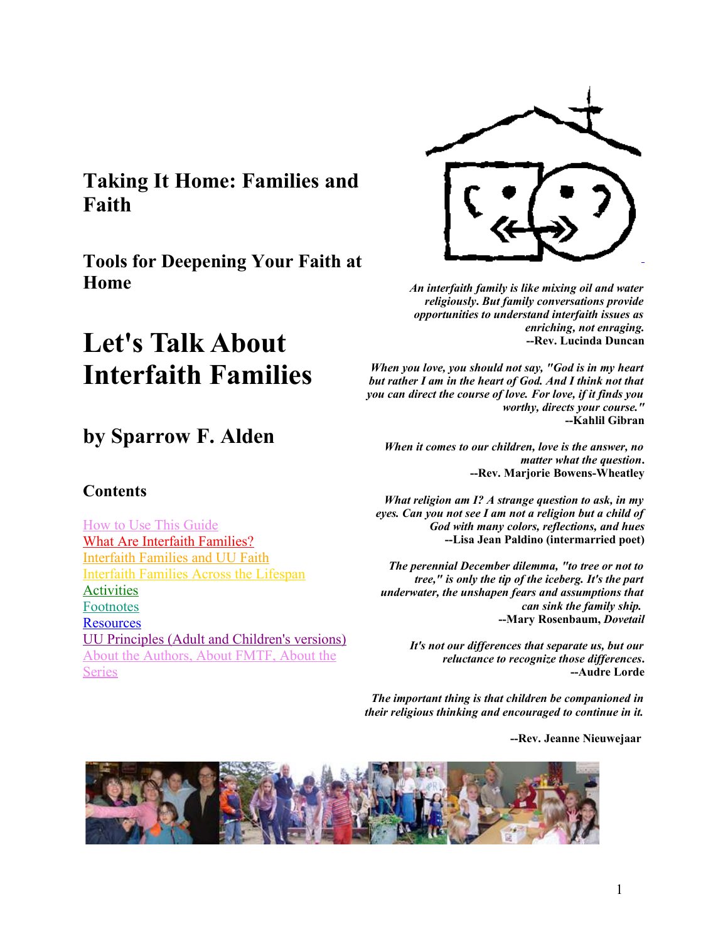# **Taking It Home: Families and Faith**

**Tools for Deepening Your Faith at Home**

# **Let's Talk About Interfaith Families**

# **by Sparrow F. Alden**

### **Contents**

How to Use This Guide What Are Interfaith Families? Interfaith Families and UU Faith Interfaith Families Across the Lifespan **Activities** Footnotes **Resources** UU Principles (Adult and Children's versions) About the Authors, About FMTF, About the **Series** 



*An interfaith family is like mixing oil and water religiously***.** *But family conversations provide opportunities to understand interfaith issues as enriching, not enraging.* **--Rev. Lucinda Duncan**

*When you love, you should not say, "God is in my heart but rather I am in the heart of God. And I think not that you can direct the course of love. For love, if it finds you worthy, directs your course."* **--Kahlil Gibran**

*When it comes to our children, love is the answer, no matter what the question***. --Rev. Marjorie Bowens-Wheatley**

*What religion am I? A strange question to ask, in my eyes. Can you not see I am not a religion but a child of God with many colors, reflections, and hues* **--Lisa Jean Paldino (intermarried poet)**

*The perennial December dilemma, "to tree or not to tree," is only the tip of the iceberg. It's the part underwater, the unshapen fears and assumptions that can sink the family ship.*  **--Mary Rosenbaum,** *Dovetail*

> *It's not our differences that separate us, but our reluctance to recognize those differences***. --Audre Lorde**

*The important thing is that children be companioned in their religious thinking and encouraged to continue in it.*

**--Rev. Jeanne Nieuwejaar**

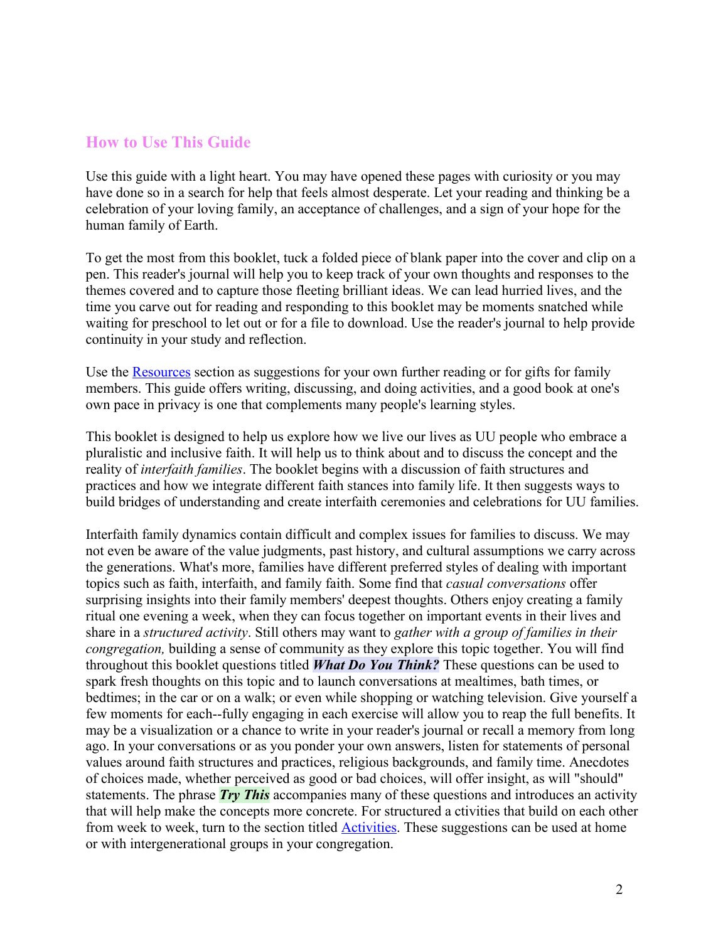### **How to Use This Guide**

Use this guide with a light heart. You may have opened these pages with curiosity or you may have done so in a search for help that feels almost desperate. Let your reading and thinking be a celebration of your loving family, an acceptance of challenges, and a sign of your hope for the human family of Earth.

To get the most from this booklet, tuck a folded piece of blank paper into the cover and clip on a pen. This reader's journal will help you to keep track of your own thoughts and responses to the themes covered and to capture those fleeting brilliant ideas. We can lead hurried lives, and the time you carve out for reading and responding to this booklet may be moments snatched while waiting for preschool to let out or for a file to download. Use the reader's journal to help provide continuity in your study and reflection.

Use the Resources section as suggestions for your own further reading or for gifts for family members. This guide offers writing, discussing, and doing activities, and a good book at one's own pace in privacy is one that complements many people's learning styles.

This booklet is designed to help us explore how we live our lives as UU people who embrace a pluralistic and inclusive faith. It will help us to think about and to discuss the concept and the reality of *interfaith families*. The booklet begins with a discussion of faith structures and practices and how we integrate different faith stances into family life. It then suggests ways to build bridges of understanding and create interfaith ceremonies and celebrations for UU families.

Interfaith family dynamics contain difficult and complex issues for families to discuss. We may not even be aware of the value judgments, past history, and cultural assumptions we carry across the generations. What's more, families have different preferred styles of dealing with important topics such as faith, interfaith, and family faith. Some find that *casual conversations* offer surprising insights into their family members' deepest thoughts. Others enjoy creating a family ritual one evening a week, when they can focus together on important events in their lives and share in a *structured activity*. Still others may want to *gather with a group of families in their congregation,* building a sense of community as they explore this topic together. You will find throughout this booklet questions titled *What Do You Think?* These questions can be used to spark fresh thoughts on this topic and to launch conversations at mealtimes, bath times, or bedtimes; in the car or on a walk; or even while shopping or watching television. Give yourself a few moments for each--fully engaging in each exercise will allow you to reap the full benefits. It may be a visualization or a chance to write in your reader's journal or recall a memory from long ago. In your conversations or as you ponder your own answers, listen for statements of personal values around faith structures and practices, religious backgrounds, and family time. Anecdotes of choices made, whether perceived as good or bad choices, will offer insight, as will "should" statements. The phrase *Try This* accompanies many of these questions and introduces an activity that will help make the concepts more concrete. For structured a ctivities that build on each other from week to week, turn to the section titled Activities. These suggestions can be used at home or with intergenerational groups in your congregation.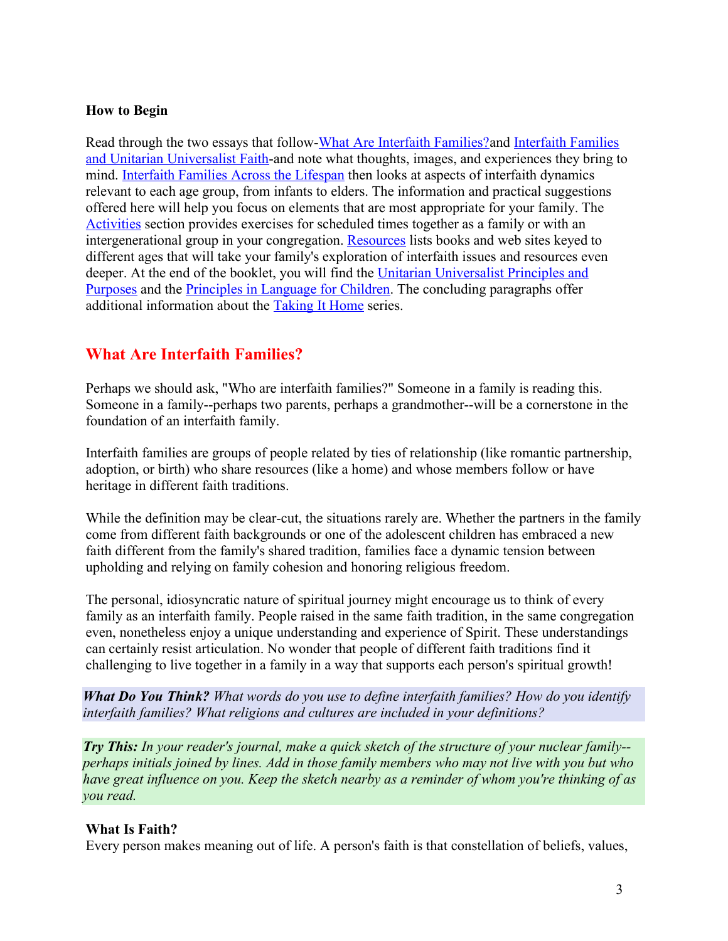#### **How to Begin**

Read through the two essays that follow-What Are Interfaith Families?and Interfaith Families and Unitarian Universalist Faith-and note what thoughts, images, and experiences they bring to mind. Interfaith Families Across the Lifespan then looks at aspects of interfaith dynamics relevant to each age group, from infants to elders. The information and practical suggestions offered here will help you focus on elements that are most appropriate for your family. The Activities section provides exercises for scheduled times together as a family or with an intergenerational group in your congregation. Resources lists books and web sites keyed to different ages that will take your family's exploration of interfaith issues and resources even deeper. At the end of the booklet, you will find the Unitarian Universalist Principles and Purposes and the Principles in Language for Children. The concluding paragraphs offer additional information about the Taking It Home series.

### **What Are Interfaith Families?**

Perhaps we should ask, "Who are interfaith families?" Someone in a family is reading this. Someone in a family--perhaps two parents, perhaps a grandmother--will be a cornerstone in the foundation of an interfaith family.

Interfaith families are groups of people related by ties of relationship (like romantic partnership, adoption, or birth) who share resources (like a home) and whose members follow or have heritage in different faith traditions.

While the definition may be clear-cut, the situations rarely are. Whether the partners in the family come from different faith backgrounds or one of the adolescent children has embraced a new faith different from the family's shared tradition, families face a dynamic tension between upholding and relying on family cohesion and honoring religious freedom.

The personal, idiosyncratic nature of spiritual journey might encourage us to think of every family as an interfaith family. People raised in the same faith tradition, in the same congregation even, nonetheless enjoy a unique understanding and experience of Spirit. These understandings can certainly resist articulation. No wonder that people of different faith traditions find it challenging to live together in a family in a way that supports each person's spiritual growth!

*What Do You Think? What words do you use to define interfaith families? How do you identify interfaith families? What religions and cultures are included in your definitions?*

*Try This: In your reader's journal, make a quick sketch of the structure of your nuclear family- perhaps initials joined by lines. Add in those family members who may not live with you but who have great influence on you. Keep the sketch nearby as a reminder of whom you're thinking of as you read.*

### **What Is Faith?**

Every person makes meaning out of life. A person's faith is that constellation of beliefs, values,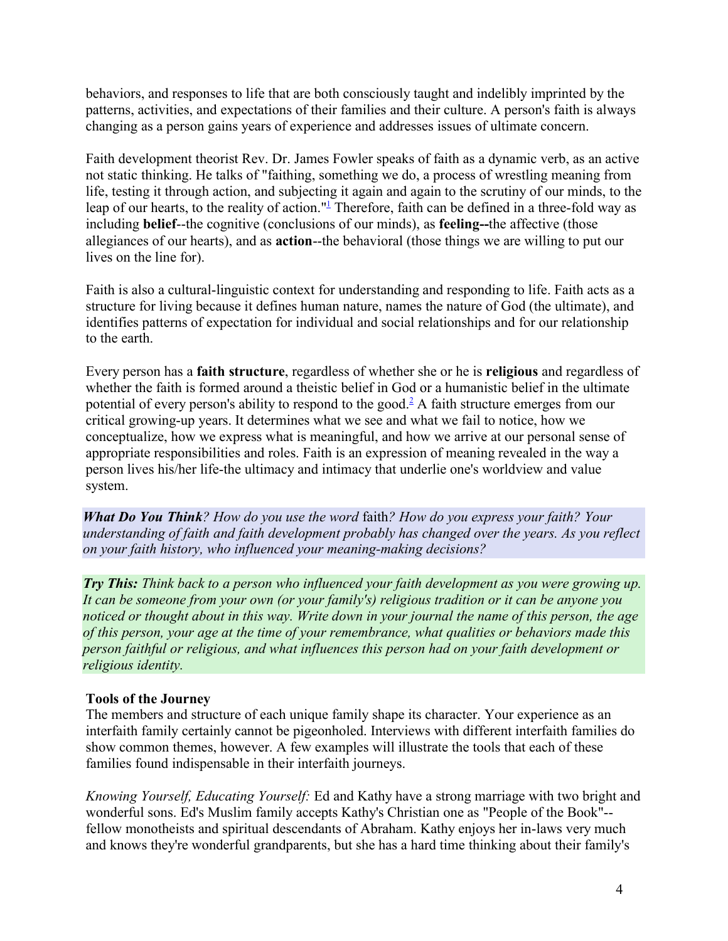behaviors, and responses to life that are both consciously taught and indelibly imprinted by the patterns, activities, and expectations of their families and their culture. A person's faith is always changing as a person gains years of experience and addresses issues of ultimate concern.

Faith development theorist Rev. Dr. James Fowler speaks of faith as a dynamic verb, as an active not static thinking. He talks of "faithing, something we do, a process of wrestling meaning from life, testing it through action, and subjecting it again and again to the scrutiny of our minds, to the leap of our hearts, to the reality of action."<sup>1</sup> Therefore, faith can be defined in a three-fold way as including **belief**--the cognitive (conclusions of our minds), as **feeling--**the affective (those allegiances of our hearts), and as **action**--the behavioral (those things we are willing to put our lives on the line for).

Faith is also a cultural-linguistic context for understanding and responding to life. Faith acts as a structure for living because it defines human nature, names the nature of God (the ultimate), and identifies patterns of expectation for individual and social relationships and for our relationship to the earth.

Every person has a **faith structure**, regardless of whether she or he is **religious** and regardless of whether the faith is formed around a theistic belief in God or a humanistic belief in the ultimate potential of every person's ability to respond to the good.<sup>2</sup> A faith structure emerges from our critical growing-up years. It determines what we see and what we fail to notice, how we conceptualize, how we express what is meaningful, and how we arrive at our personal sense of appropriate responsibilities and roles. Faith is an expression of meaning revealed in the way a person lives his/her life-the ultimacy and intimacy that underlie one's worldview and value system.

*What Do You Think? How do you use the word* faith*? How do you express your faith? Your understanding of faith and faith development probably has changed over the years. As you reflect on your faith history, who influenced your meaning-making decisions?*

*Try This: Think back to a person who influenced your faith development as you were growing up. It can be someone from your own (or your family's) religious tradition or it can be anyone you noticed or thought about in this way. Write down in your journal the name of this person, the age of this person, your age at the time of your remembrance, what qualities or behaviors made this person faithful or religious, and what influences this person had on your faith development or religious identity.*

### **Tools of the Journey**

The members and structure of each unique family shape its character. Your experience as an interfaith family certainly cannot be pigeonholed. Interviews with different interfaith families do show common themes, however. A few examples will illustrate the tools that each of these families found indispensable in their interfaith journeys.

*Knowing Yourself, Educating Yourself:* Ed and Kathy have a strong marriage with two bright and wonderful sons. Ed's Muslim family accepts Kathy's Christian one as "People of the Book"- fellow monotheists and spiritual descendants of Abraham. Kathy enjoys her in-laws very much and knows they're wonderful grandparents, but she has a hard time thinking about their family's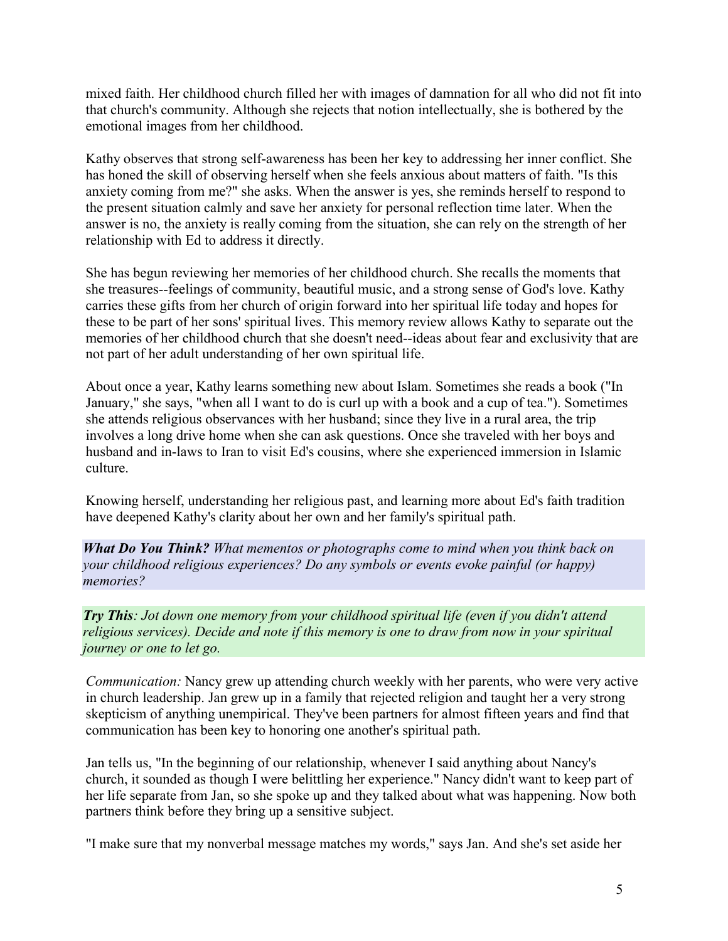mixed faith. Her childhood church filled her with images of damnation for all who did not fit into that church's community. Although she rejects that notion intellectually, she is bothered by the emotional images from her childhood.

Kathy observes that strong self-awareness has been her key to addressing her inner conflict. She has honed the skill of observing herself when she feels anxious about matters of faith. "Is this anxiety coming from me?" she asks. When the answer is yes, she reminds herself to respond to the present situation calmly and save her anxiety for personal reflection time later. When the answer is no, the anxiety is really coming from the situation, she can rely on the strength of her relationship with Ed to address it directly.

She has begun reviewing her memories of her childhood church. She recalls the moments that she treasures--feelings of community, beautiful music, and a strong sense of God's love. Kathy carries these gifts from her church of origin forward into her spiritual life today and hopes for these to be part of her sons' spiritual lives. This memory review allows Kathy to separate out the memories of her childhood church that she doesn't need--ideas about fear and exclusivity that are not part of her adult understanding of her own spiritual life.

About once a year, Kathy learns something new about Islam. Sometimes she reads a book ("In January," she says, "when all I want to do is curl up with a book and a cup of tea."). Sometimes she attends religious observances with her husband; since they live in a rural area, the trip involves a long drive home when she can ask questions. Once she traveled with her boys and husband and in-laws to Iran to visit Ed's cousins, where she experienced immersion in Islamic culture.

Knowing herself, understanding her religious past, and learning more about Ed's faith tradition have deepened Kathy's clarity about her own and her family's spiritual path.

*What Do You Think? What mementos or photographs come to mind when you think back on your childhood religious experiences? Do any symbols or events evoke painful (or happy) memories?*

*Try This: Jot down one memory from your childhood spiritual life (even if you didn't attend religious services). Decide and note if this memory is one to draw from now in your spiritual journey or one to let go.*

*Communication:* Nancy grew up attending church weekly with her parents, who were very active in church leadership. Jan grew up in a family that rejected religion and taught her a very strong skepticism of anything unempirical. They've been partners for almost fifteen years and find that communication has been key to honoring one another's spiritual path.

Jan tells us, "In the beginning of our relationship, whenever I said anything about Nancy's church, it sounded as though I were belittling her experience." Nancy didn't want to keep part of her life separate from Jan, so she spoke up and they talked about what was happening. Now both partners think before they bring up a sensitive subject.

"I make sure that my nonverbal message matches my words," says Jan. And she's set aside her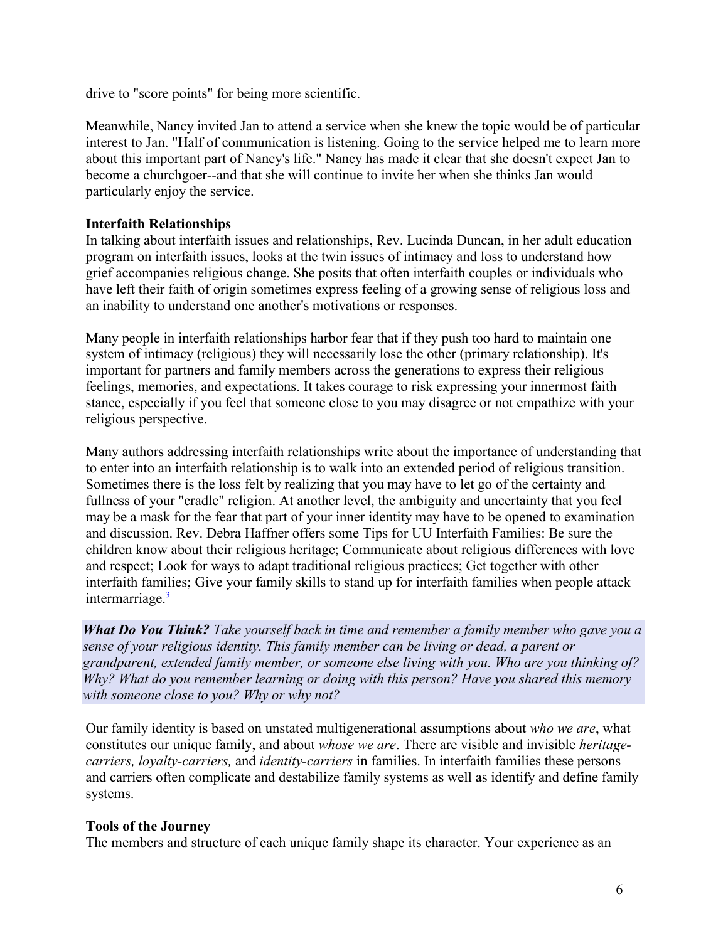drive to "score points" for being more scientific.

Meanwhile, Nancy invited Jan to attend a service when she knew the topic would be of particular interest to Jan. "Half of communication is listening. Going to the service helped me to learn more about this important part of Nancy's life." Nancy has made it clear that she doesn't expect Jan to become a churchgoer--and that she will continue to invite her when she thinks Jan would particularly enjoy the service.

#### **Interfaith Relationships**

In talking about interfaith issues and relationships, Rev. Lucinda Duncan, in her adult education program on interfaith issues, looks at the twin issues of intimacy and loss to understand how grief accompanies religious change. She posits that often interfaith couples or individuals who have left their faith of origin sometimes express feeling of a growing sense of religious loss and an inability to understand one another's motivations or responses.

Many people in interfaith relationships harbor fear that if they push too hard to maintain one system of intimacy (religious) they will necessarily lose the other (primary relationship). It's important for partners and family members across the generations to express their religious feelings, memories, and expectations. It takes courage to risk expressing your innermost faith stance, especially if you feel that someone close to you may disagree or not empathize with your religious perspective.

Many authors addressing interfaith relationships write about the importance of understanding that to enter into an interfaith relationship is to walk into an extended period of religious transition. Sometimes there is the loss felt by realizing that you may have to let go of the certainty and fullness of your "cradle" religion. At another level, the ambiguity and uncertainty that you feel may be a mask for the fear that part of your inner identity may have to be opened to examination and discussion. Rev. Debra Haffner offers some Tips for UU Interfaith Families: Be sure the children know about their religious heritage; Communicate about religious differences with love and respect; Look for ways to adapt traditional religious practices; Get together with other interfaith families; Give your family skills to stand up for interfaith families when people attack intermarriage.<sup>3</sup>

*What Do You Think? Take yourself back in time and remember a family member who gave you a sense of your religious identity. This family member can be living or dead, a parent or grandparent, extended family member, or someone else living with you. Who are you thinking of? Why? What do you remember learning or doing with this person? Have you shared this memory with someone close to you? Why or why not?*

Our family identity is based on unstated multigenerational assumptions about *who we are*, what constitutes our unique family, and about *whose we are*. There are visible and invisible *heritagecarriers, loyalty-carriers,* and *identity-carriers* in families. In interfaith families these persons and carriers often complicate and destabilize family systems as well as identify and define family systems.

#### **Tools of the Journey**

The members and structure of each unique family shape its character. Your experience as an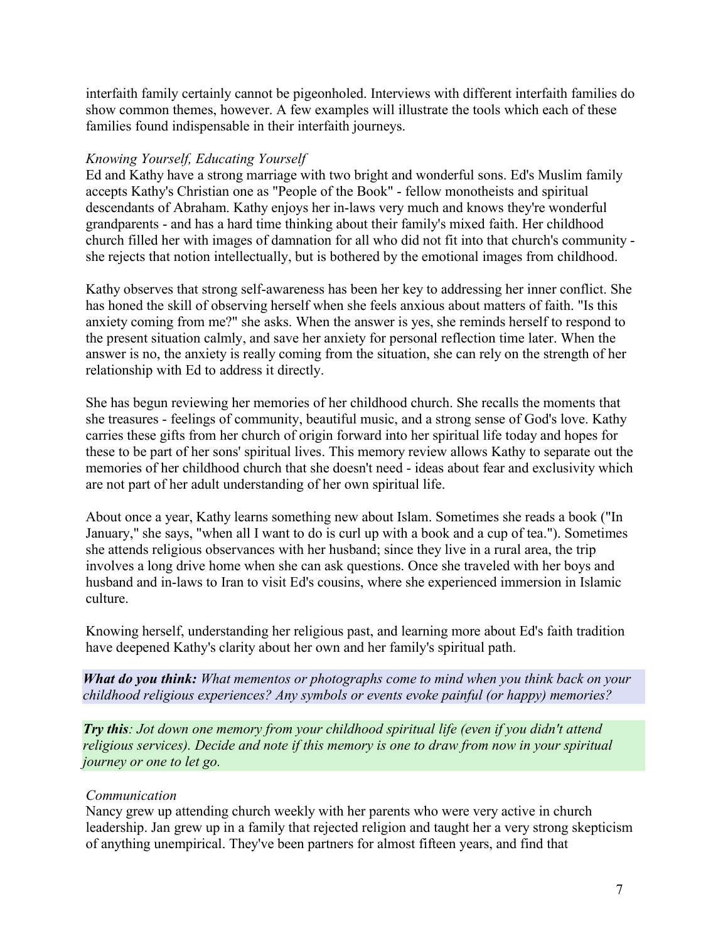interfaith family certainly cannot be pigeonholed. Interviews with different interfaith families do show common themes, however. A few examples will illustrate the tools which each of these families found indispensable in their interfaith journeys.

### *Knowing Yourself, Educating Yourself*

Ed and Kathy have a strong marriage with two bright and wonderful sons. Ed's Muslim family accepts Kathy's Christian one as "People of the Book" - fellow monotheists and spiritual descendants of Abraham. Kathy enjoys her in-laws very much and knows they're wonderful grandparents - and has a hard time thinking about their family's mixed faith. Her childhood church filled her with images of damnation for all who did not fit into that church's community she rejects that notion intellectually, but is bothered by the emotional images from childhood.

Kathy observes that strong self-awareness has been her key to addressing her inner conflict. She has honed the skill of observing herself when she feels anxious about matters of faith. "Is this anxiety coming from me?" she asks. When the answer is yes, she reminds herself to respond to the present situation calmly, and save her anxiety for personal reflection time later. When the answer is no, the anxiety is really coming from the situation, she can rely on the strength of her relationship with Ed to address it directly.

She has begun reviewing her memories of her childhood church. She recalls the moments that she treasures - feelings of community, beautiful music, and a strong sense of God's love. Kathy carries these gifts from her church of origin forward into her spiritual life today and hopes for these to be part of her sons' spiritual lives. This memory review allows Kathy to separate out the memories of her childhood church that she doesn't need - ideas about fear and exclusivity which are not part of her adult understanding of her own spiritual life.

About once a year, Kathy learns something new about Islam. Sometimes she reads a book ("In January," she says, "when all I want to do is curl up with a book and a cup of tea."). Sometimes she attends religious observances with her husband; since they live in a rural area, the trip involves a long drive home when she can ask questions. Once she traveled with her boys and husband and in-laws to Iran to visit Ed's cousins, where she experienced immersion in Islamic culture.

Knowing herself, understanding her religious past, and learning more about Ed's faith tradition have deepened Kathy's clarity about her own and her family's spiritual path.

*What do you think: What mementos or photographs come to mind when you think back on your childhood religious experiences? Any symbols or events evoke painful (or happy) memories?*

*Try this: Jot down one memory from your childhood spiritual life (even if you didn't attend religious services). Decide and note if this memory is one to draw from now in your spiritual journey or one to let go.*

### *Communication*

Nancy grew up attending church weekly with her parents who were very active in church leadership. Jan grew up in a family that rejected religion and taught her a very strong skepticism of anything unempirical. They've been partners for almost fifteen years, and find that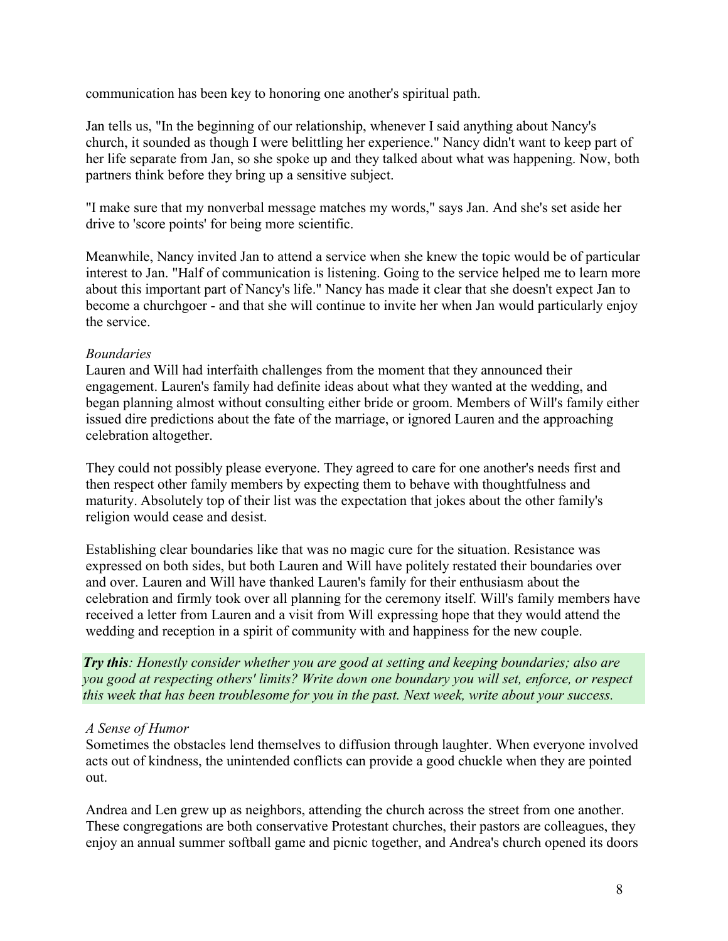communication has been key to honoring one another's spiritual path.

Jan tells us, "In the beginning of our relationship, whenever I said anything about Nancy's church, it sounded as though I were belittling her experience." Nancy didn't want to keep part of her life separate from Jan, so she spoke up and they talked about what was happening. Now, both partners think before they bring up a sensitive subject.

"I make sure that my nonverbal message matches my words," says Jan. And she's set aside her drive to 'score points' for being more scientific.

Meanwhile, Nancy invited Jan to attend a service when she knew the topic would be of particular interest to Jan. "Half of communication is listening. Going to the service helped me to learn more about this important part of Nancy's life." Nancy has made it clear that she doesn't expect Jan to become a churchgoer - and that she will continue to invite her when Jan would particularly enjoy the service.

#### *Boundaries*

Lauren and Will had interfaith challenges from the moment that they announced their engagement. Lauren's family had definite ideas about what they wanted at the wedding, and began planning almost without consulting either bride or groom. Members of Will's family either issued dire predictions about the fate of the marriage, or ignored Lauren and the approaching celebration altogether.

They could not possibly please everyone. They agreed to care for one another's needs first and then respect other family members by expecting them to behave with thoughtfulness and maturity. Absolutely top of their list was the expectation that jokes about the other family's religion would cease and desist.

Establishing clear boundaries like that was no magic cure for the situation. Resistance was expressed on both sides, but both Lauren and Will have politely restated their boundaries over and over. Lauren and Will have thanked Lauren's family for their enthusiasm about the celebration and firmly took over all planning for the ceremony itself. Will's family members have received a letter from Lauren and a visit from Will expressing hope that they would attend the wedding and reception in a spirit of community with and happiness for the new couple.

*Try this: Honestly consider whether you are good at setting and keeping boundaries; also are you good at respecting others' limits? Write down one boundary you will set, enforce, or respect this week that has been troublesome for you in the past. Next week, write about your success.*

### *A Sense of Humor*

Sometimes the obstacles lend themselves to diffusion through laughter. When everyone involved acts out of kindness, the unintended conflicts can provide a good chuckle when they are pointed out.

Andrea and Len grew up as neighbors, attending the church across the street from one another. These congregations are both conservative Protestant churches, their pastors are colleagues, they enjoy an annual summer softball game and picnic together, and Andrea's church opened its doors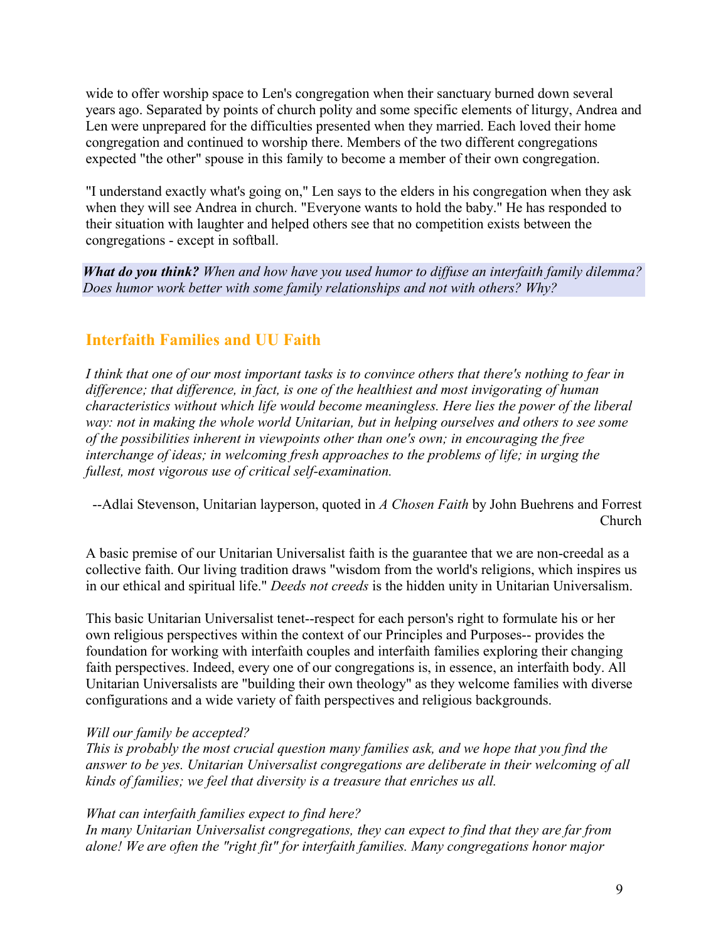wide to offer worship space to Len's congregation when their sanctuary burned down several years ago. Separated by points of church polity and some specific elements of liturgy, Andrea and Len were unprepared for the difficulties presented when they married. Each loved their home congregation and continued to worship there. Members of the two different congregations expected "the other" spouse in this family to become a member of their own congregation.

"I understand exactly what's going on," Len says to the elders in his congregation when they ask when they will see Andrea in church. "Everyone wants to hold the baby." He has responded to their situation with laughter and helped others see that no competition exists between the congregations - except in softball.

*What do you think? When and how have you used humor to diffuse an interfaith family dilemma? Does humor work better with some family relationships and not with others? Why?*

### **Interfaith Families and UU Faith**

*I think that one of our most important tasks is to convince others that there's nothing to fear in difference; that difference, in fact, is one of the healthiest and most invigorating of human characteristics without which life would become meaningless. Here lies the power of the liberal way: not in making the whole world Unitarian, but in helping ourselves and others to see some of the possibilities inherent in viewpoints other than one's own; in encouraging the free interchange of ideas; in welcoming fresh approaches to the problems of life; in urging the fullest, most vigorous use of critical self-examination.*

--Adlai Stevenson, Unitarian layperson, quoted in *A Chosen Faith* by John Buehrens and Forrest Church

A basic premise of our Unitarian Universalist faith is the guarantee that we are non-creedal as a collective faith. Our living tradition draws "wisdom from the world's religions, which inspires us in our ethical and spiritual life." *Deeds not creeds* is the hidden unity in Unitarian Universalism.

This basic Unitarian Universalist tenet--respect for each person's right to formulate his or her own religious perspectives within the context of our Principles and Purposes-- provides the foundation for working with interfaith couples and interfaith families exploring their changing faith perspectives. Indeed, every one of our congregations is, in essence, an interfaith body. All Unitarian Universalists are "building their own theology" as they welcome families with diverse configurations and a wide variety of faith perspectives and religious backgrounds.

### *Will our family be accepted?*

*This is probably the most crucial question many families ask, and we hope that you find the answer to be yes. Unitarian Universalist congregations are deliberate in their welcoming of all kinds of families; we feel that diversity is a treasure that enriches us all.*

### *What can interfaith families expect to find here?*

*In many Unitarian Universalist congregations, they can expect to find that they are far from alone! We are often the "right fit" for interfaith families. Many congregations honor major*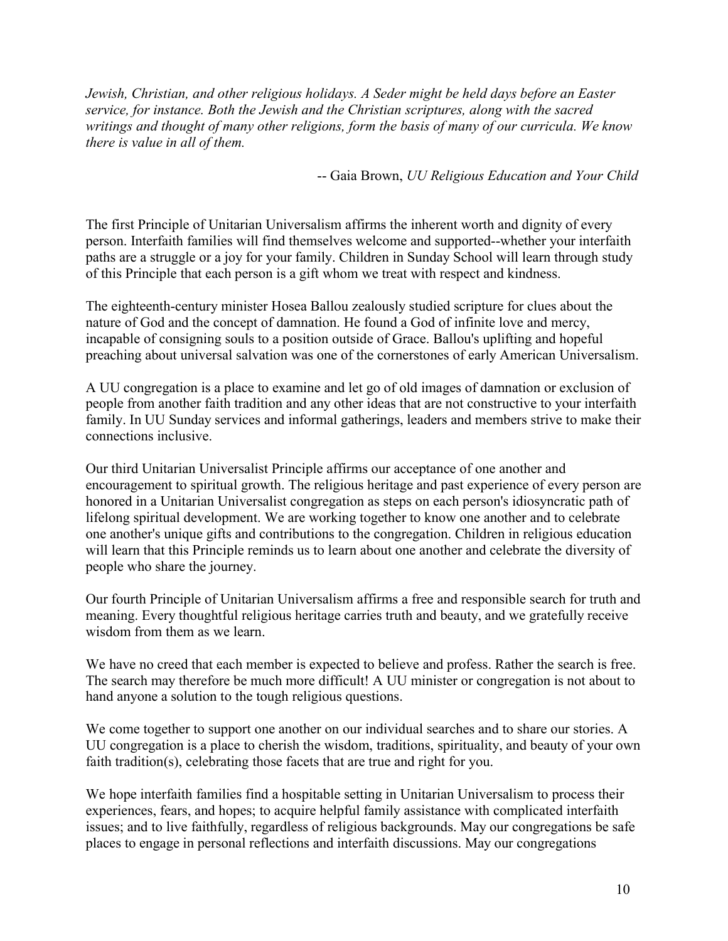*Jewish, Christian, and other religious holidays. A Seder might be held days before an Easter service, for instance. Both the Jewish and the Christian scriptures, along with the sacred writings and thought of many other religions, form the basis of many of our curricula. We know there is value in all of them.* 

-- Gaia Brown, *UU Religious Education and Your Child*

The first Principle of Unitarian Universalism affirms the inherent worth and dignity of every person. Interfaith families will find themselves welcome and supported--whether your interfaith paths are a struggle or a joy for your family. Children in Sunday School will learn through study of this Principle that each person is a gift whom we treat with respect and kindness.

The eighteenth-century minister Hosea Ballou zealously studied scripture for clues about the nature of God and the concept of damnation. He found a God of infinite love and mercy, incapable of consigning souls to a position outside of Grace. Ballou's uplifting and hopeful preaching about universal salvation was one of the cornerstones of early American Universalism.

A UU congregation is a place to examine and let go of old images of damnation or exclusion of people from another faith tradition and any other ideas that are not constructive to your interfaith family. In UU Sunday services and informal gatherings, leaders and members strive to make their connections inclusive.

Our third Unitarian Universalist Principle affirms our acceptance of one another and encouragement to spiritual growth. The religious heritage and past experience of every person are honored in a Unitarian Universalist congregation as steps on each person's idiosyncratic path of lifelong spiritual development. We are working together to know one another and to celebrate one another's unique gifts and contributions to the congregation. Children in religious education will learn that this Principle reminds us to learn about one another and celebrate the diversity of people who share the journey.

Our fourth Principle of Unitarian Universalism affirms a free and responsible search for truth and meaning. Every thoughtful religious heritage carries truth and beauty, and we gratefully receive wisdom from them as we learn.

We have no creed that each member is expected to believe and profess. Rather the search is free. The search may therefore be much more difficult! A UU minister or congregation is not about to hand anyone a solution to the tough religious questions.

We come together to support one another on our individual searches and to share our stories. A UU congregation is a place to cherish the wisdom, traditions, spirituality, and beauty of your own faith tradition(s), celebrating those facets that are true and right for you.

We hope interfaith families find a hospitable setting in Unitarian Universalism to process their experiences, fears, and hopes; to acquire helpful family assistance with complicated interfaith issues; and to live faithfully, regardless of religious backgrounds. May our congregations be safe places to engage in personal reflections and interfaith discussions. May our congregations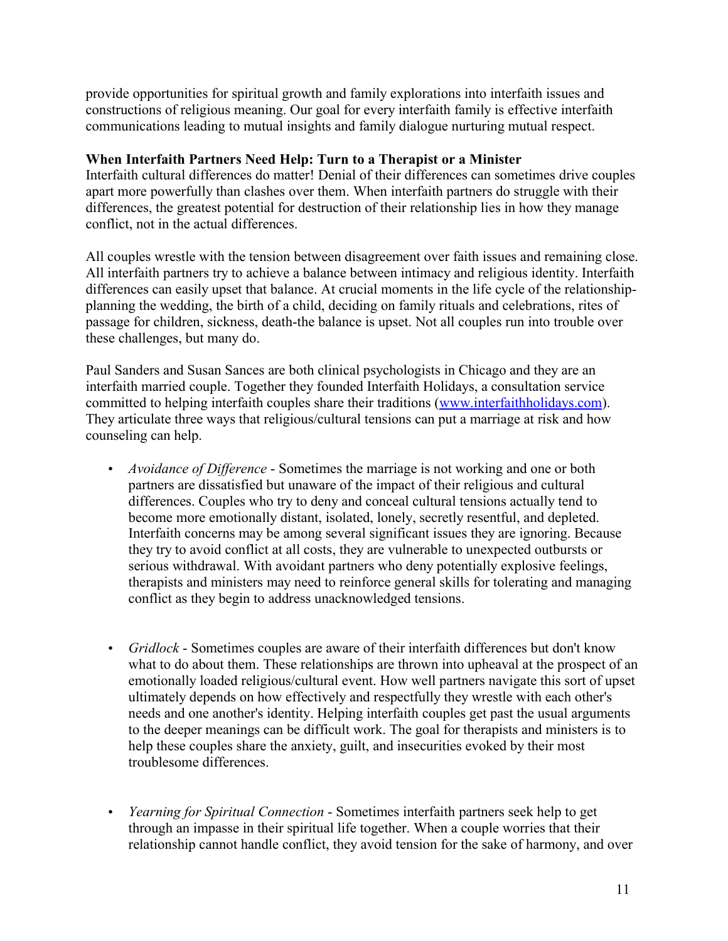provide opportunities for spiritual growth and family explorations into interfaith issues and constructions of religious meaning. Our goal for every interfaith family is effective interfaith communications leading to mutual insights and family dialogue nurturing mutual respect.

#### **When Interfaith Partners Need Help: Turn to a Therapist or a Minister**

Interfaith cultural differences do matter! Denial of their differences can sometimes drive couples apart more powerfully than clashes over them. When interfaith partners do struggle with their differences, the greatest potential for destruction of their relationship lies in how they manage conflict, not in the actual differences.

All couples wrestle with the tension between disagreement over faith issues and remaining close. All interfaith partners try to achieve a balance between intimacy and religious identity. Interfaith differences can easily upset that balance. At crucial moments in the life cycle of the relationshipplanning the wedding, the birth of a child, deciding on family rituals and celebrations, rites of passage for children, sickness, death-the balance is upset. Not all couples run into trouble over these challenges, but many do.

Paul Sanders and Susan Sances are both clinical psychologists in Chicago and they are an interfaith married couple. Together they founded Interfaith Holidays, a consultation service committed to helping interfaith couples share their traditions (www.interfaithholidays.com). They articulate three ways that religious/cultural tensions can put a marriage at risk and how counseling can help.

- *Avoidance of Difference* Sometimes the marriage is not working and one or both partners are dissatisfied but unaware of the impact of their religious and cultural differences. Couples who try to deny and conceal cultural tensions actually tend to become more emotionally distant, isolated, lonely, secretly resentful, and depleted. Interfaith concerns may be among several significant issues they are ignoring. Because they try to avoid conflict at all costs, they are vulnerable to unexpected outbursts or serious withdrawal. With avoidant partners who deny potentially explosive feelings, therapists and ministers may need to reinforce general skills for tolerating and managing conflict as they begin to address unacknowledged tensions.
- *Gridlock* Sometimes couples are aware of their interfaith differences but don't know what to do about them. These relationships are thrown into upheaval at the prospect of an emotionally loaded religious/cultural event. How well partners navigate this sort of upset ultimately depends on how effectively and respectfully they wrestle with each other's needs and one another's identity. Helping interfaith couples get past the usual arguments to the deeper meanings can be difficult work. The goal for therapists and ministers is to help these couples share the anxiety, guilt, and insecurities evoked by their most troublesome differences.
- *Yearning for Spiritual Connection* Sometimes interfaith partners seek help to get through an impasse in their spiritual life together. When a couple worries that their relationship cannot handle conflict, they avoid tension for the sake of harmony, and over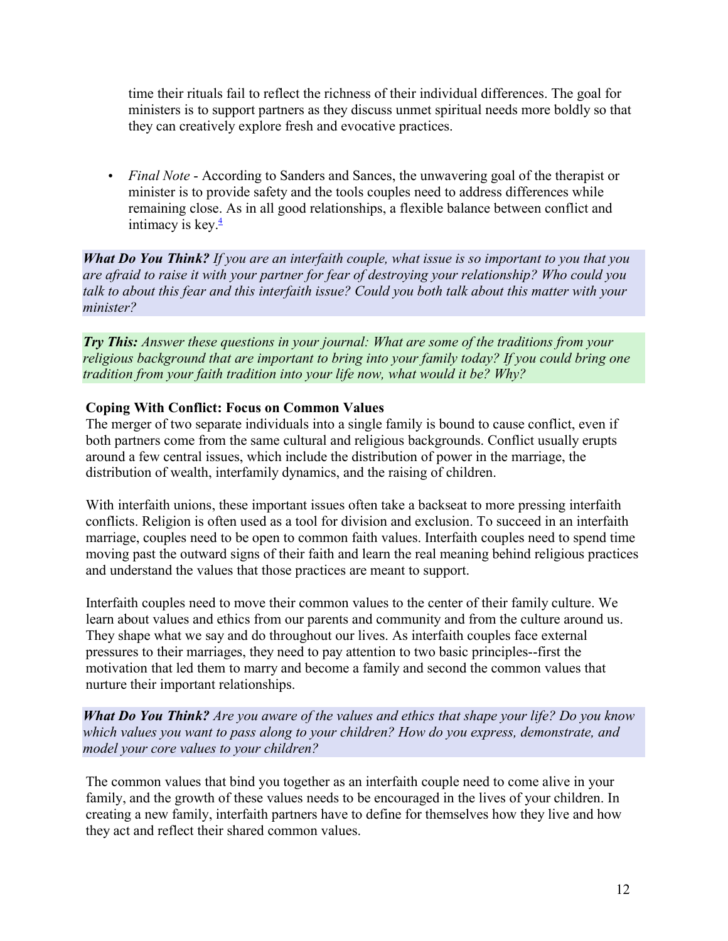time their rituals fail to reflect the richness of their individual differences. The goal for ministers is to support partners as they discuss unmet spiritual needs more boldly so that they can creatively explore fresh and evocative practices.

• *Final Note* - According to Sanders and Sances, the unwavering goal of the therapist or minister is to provide safety and the tools couples need to address differences while remaining close. As in all good relationships, a flexible balance between conflict and intimacy is key.<sup>4</sup>

*What Do You Think? If you are an interfaith couple, what issue is so important to you that you are afraid to raise it with your partner for fear of destroying your relationship? Who could you talk to about this fear and this interfaith issue? Could you both talk about this matter with your minister?*

*Try This: Answer these questions in your journal: What are some of the traditions from your religious background that are important to bring into your family today? If you could bring one tradition from your faith tradition into your life now, what would it be? Why?*

### **Coping With Conflict: Focus on Common Values**

The merger of two separate individuals into a single family is bound to cause conflict, even if both partners come from the same cultural and religious backgrounds. Conflict usually erupts around a few central issues, which include the distribution of power in the marriage, the distribution of wealth, interfamily dynamics, and the raising of children.

With interfaith unions, these important issues often take a backseat to more pressing interfaith conflicts. Religion is often used as a tool for division and exclusion. To succeed in an interfaith marriage, couples need to be open to common faith values. Interfaith couples need to spend time moving past the outward signs of their faith and learn the real meaning behind religious practices and understand the values that those practices are meant to support.

Interfaith couples need to move their common values to the center of their family culture. We learn about values and ethics from our parents and community and from the culture around us. They shape what we say and do throughout our lives. As interfaith couples face external pressures to their marriages, they need to pay attention to two basic principles--first the motivation that led them to marry and become a family and second the common values that nurture their important relationships.

*What Do You Think? Are you aware of the values and ethics that shape your life? Do you know which values you want to pass along to your children? How do you express, demonstrate, and model your core values to your children?*

The common values that bind you together as an interfaith couple need to come alive in your family, and the growth of these values needs to be encouraged in the lives of your children. In creating a new family, interfaith partners have to define for themselves how they live and how they act and reflect their shared common values.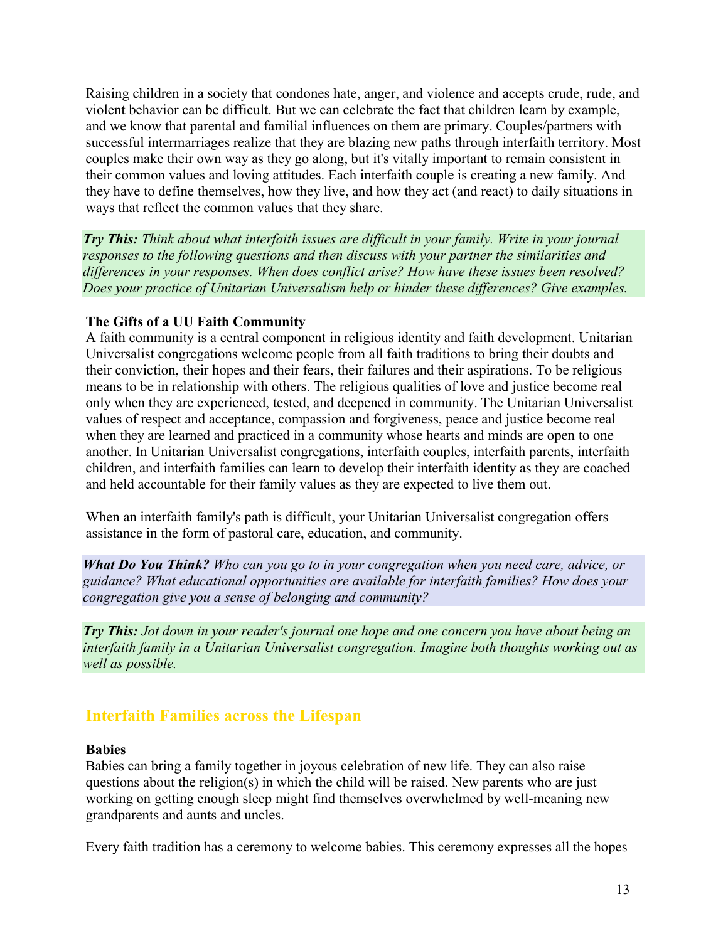Raising children in a society that condones hate, anger, and violence and accepts crude, rude, and violent behavior can be difficult. But we can celebrate the fact that children learn by example, and we know that parental and familial influences on them are primary. Couples/partners with successful intermarriages realize that they are blazing new paths through interfaith territory. Most couples make their own way as they go along, but it's vitally important to remain consistent in their common values and loving attitudes. Each interfaith couple is creating a new family. And they have to define themselves, how they live, and how they act (and react) to daily situations in ways that reflect the common values that they share.

*Try This: Think about what interfaith issues are difficult in your family. Write in your journal responses to the following questions and then discuss with your partner the similarities and differences in your responses. When does conflict arise? How have these issues been resolved? Does your practice of Unitarian Universalism help or hinder these differences? Give examples.*

#### **The Gifts of a UU Faith Community**

A faith community is a central component in religious identity and faith development. Unitarian Universalist congregations welcome people from all faith traditions to bring their doubts and their conviction, their hopes and their fears, their failures and their aspirations. To be religious means to be in relationship with others. The religious qualities of love and justice become real only when they are experienced, tested, and deepened in community. The Unitarian Universalist values of respect and acceptance, compassion and forgiveness, peace and justice become real when they are learned and practiced in a community whose hearts and minds are open to one another. In Unitarian Universalist congregations, interfaith couples, interfaith parents, interfaith children, and interfaith families can learn to develop their interfaith identity as they are coached and held accountable for their family values as they are expected to live them out.

When an interfaith family's path is difficult, your Unitarian Universalist congregation offers assistance in the form of pastoral care, education, and community.

*What Do You Think? Who can you go to in your congregation when you need care, advice, or guidance? What educational opportunities are available for interfaith families? How does your congregation give you a sense of belonging and community?*

*Try This: Jot down in your reader's journal one hope and one concern you have about being an interfaith family in a Unitarian Universalist congregation. Imagine both thoughts working out as well as possible.*

### **Interfaith Families across the Lifespan**

#### **Babies**

Babies can bring a family together in joyous celebration of new life. They can also raise questions about the religion(s) in which the child will be raised. New parents who are just working on getting enough sleep might find themselves overwhelmed by well-meaning new grandparents and aunts and uncles.

Every faith tradition has a ceremony to welcome babies. This ceremony expresses all the hopes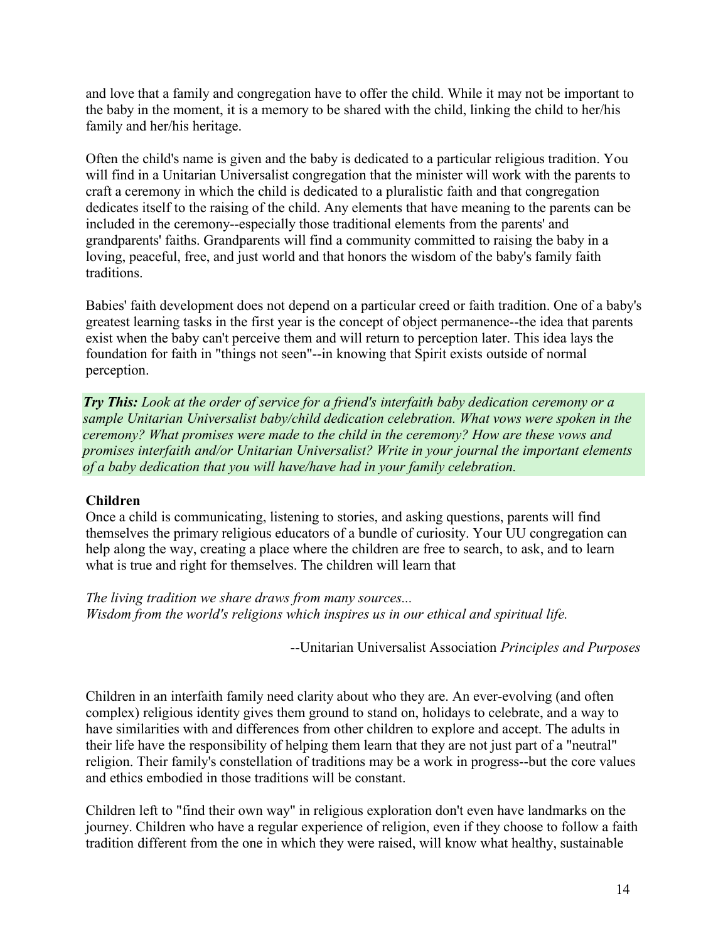and love that a family and congregation have to offer the child. While it may not be important to the baby in the moment, it is a memory to be shared with the child, linking the child to her/his family and her/his heritage.

Often the child's name is given and the baby is dedicated to a particular religious tradition. You will find in a Unitarian Universalist congregation that the minister will work with the parents to craft a ceremony in which the child is dedicated to a pluralistic faith and that congregation dedicates itself to the raising of the child. Any elements that have meaning to the parents can be included in the ceremony--especially those traditional elements from the parents' and grandparents' faiths. Grandparents will find a community committed to raising the baby in a loving, peaceful, free, and just world and that honors the wisdom of the baby's family faith traditions.

Babies' faith development does not depend on a particular creed or faith tradition. One of a baby's greatest learning tasks in the first year is the concept of object permanence--the idea that parents exist when the baby can't perceive them and will return to perception later. This idea lays the foundation for faith in "things not seen"--in knowing that Spirit exists outside of normal perception.

*Try This: Look at the order of service for a friend's interfaith baby dedication ceremony or a sample Unitarian Universalist baby/child dedication celebration. What vows were spoken in the ceremony? What promises were made to the child in the ceremony? How are these vows and promises interfaith and/or Unitarian Universalist? Write in your journal the important elements of a baby dedication that you will have/have had in your family celebration.*

### **Children**

Once a child is communicating, listening to stories, and asking questions, parents will find themselves the primary religious educators of a bundle of curiosity. Your UU congregation can help along the way, creating a place where the children are free to search, to ask, and to learn what is true and right for themselves. The children will learn that

*The living tradition we share draws from many sources... Wisdom from the world's religions which inspires us in our ethical and spiritual life.* 

--Unitarian Universalist Association *Principles and Purposes*

Children in an interfaith family need clarity about who they are. An ever-evolving (and often complex) religious identity gives them ground to stand on, holidays to celebrate, and a way to have similarities with and differences from other children to explore and accept. The adults in their life have the responsibility of helping them learn that they are not just part of a "neutral" religion. Their family's constellation of traditions may be a work in progress--but the core values and ethics embodied in those traditions will be constant.

Children left to "find their own way" in religious exploration don't even have landmarks on the journey. Children who have a regular experience of religion, even if they choose to follow a faith tradition different from the one in which they were raised, will know what healthy, sustainable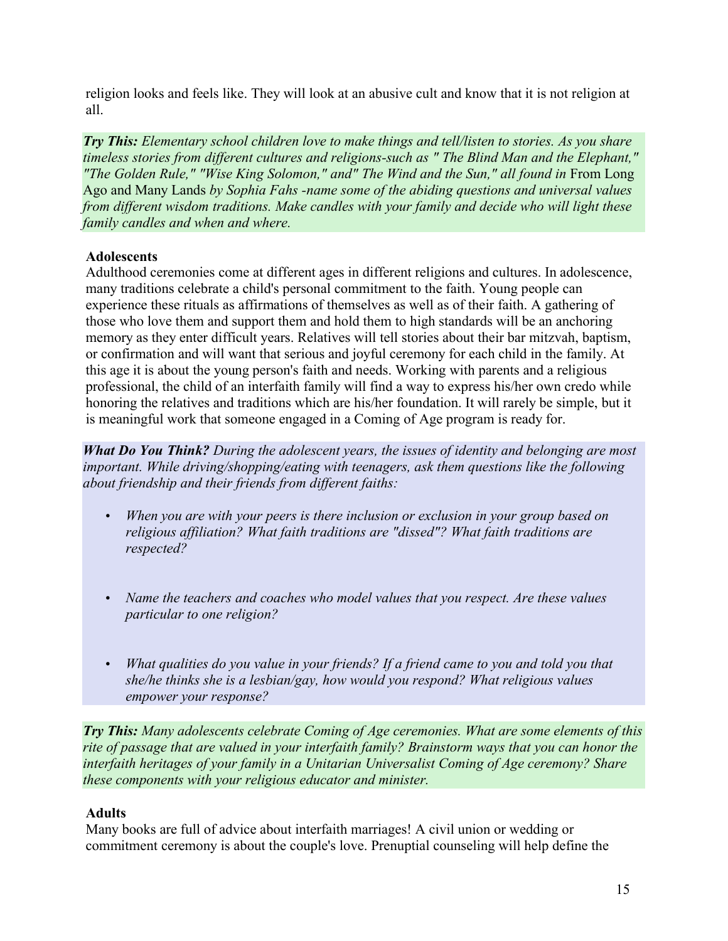religion looks and feels like. They will look at an abusive cult and know that it is not religion at all.

*Try This: Elementary school children love to make things and tell/listen to stories. As you share timeless stories from different cultures and religions-such as " The Blind Man and the Elephant,"* "The Golden Rule," "Wise King Solomon," and" The Wind and the Sun," all found in From Long Ago and Many Lands *by Sophia Fahs -name some of the abiding questions and universal values from different wisdom traditions. Make candles with your family and decide who will light these family candles and when and where.*

### **Adolescents**

Adulthood ceremonies come at different ages in different religions and cultures. In adolescence, many traditions celebrate a child's personal commitment to the faith. Young people can experience these rituals as affirmations of themselves as well as of their faith. A gathering of those who love them and support them and hold them to high standards will be an anchoring memory as they enter difficult years. Relatives will tell stories about their bar mitzvah, baptism, or confirmation and will want that serious and joyful ceremony for each child in the family. At this age it is about the young person's faith and needs. Working with parents and a religious professional, the child of an interfaith family will find a way to express his/her own credo while honoring the relatives and traditions which are his/her foundation. It will rarely be simple, but it is meaningful work that someone engaged in a Coming of Age program is ready for.

*What Do You Think? During the adolescent years, the issues of identity and belonging are most important. While driving/shopping/eating with teenagers, ask them questions like the following about friendship and their friends from different faiths:* 

- *When you are with your peers is there inclusion or exclusion in your group based on religious affiliation? What faith traditions are "dissed"? What faith traditions are respected?*
- *Name the teachers and coaches who model values that you respect. Are these values particular to one religion?*
- *What qualities do you value in your friends? If a friend came to you and told you that she/he thinks she is a lesbian/gay, how would you respond? What religious values empower your response?*

*Try This: Many adolescents celebrate Coming of Age ceremonies. What are some elements of this rite of passage that are valued in your interfaith family? Brainstorm ways that you can honor the interfaith heritages of your family in a Unitarian Universalist Coming of Age ceremony? Share these components with your religious educator and minister.*

### **Adults**

Many books are full of advice about interfaith marriages! A civil union or wedding or commitment ceremony is about the couple's love. Prenuptial counseling will help define the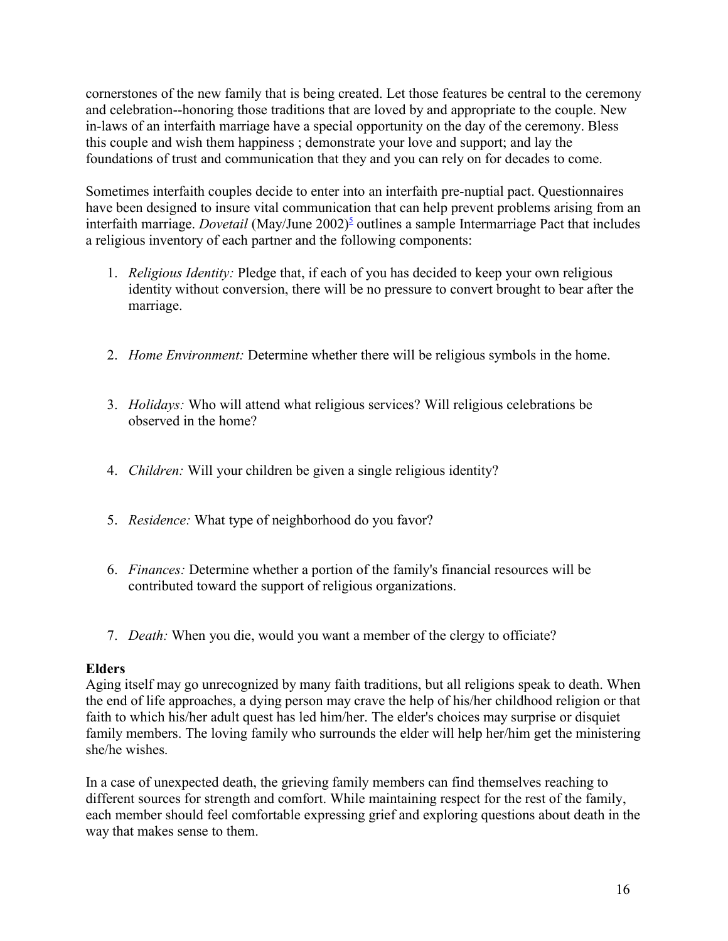cornerstones of the new family that is being created. Let those features be central to the ceremony and celebration--honoring those traditions that are loved by and appropriate to the couple. New in-laws of an interfaith marriage have a special opportunity on the day of the ceremony. Bless this couple and wish them happiness ; demonstrate your love and support; and lay the foundations of trust and communication that they and you can rely on for decades to come.

Sometimes interfaith couples decide to enter into an interfaith pre-nuptial pact. Questionnaires have been designed to insure vital communication that can help prevent problems arising from an interfaith marriage. *Dovetail* (May/June 2002)<sup>5</sup> outlines a sample Intermarriage Pact that includes a religious inventory of each partner and the following components:

- 1. *Religious Identity:* Pledge that, if each of you has decided to keep your own religious identity without conversion, there will be no pressure to convert brought to bear after the marriage.
- 2. *Home Environment:* Determine whether there will be religious symbols in the home.
- 3. *Holidays:* Who will attend what religious services? Will religious celebrations be observed in the home?
- 4. *Children:* Will your children be given a single religious identity?
- 5. *Residence:* What type of neighborhood do you favor?
- 6. *Finances:* Determine whether a portion of the family's financial resources will be contributed toward the support of religious organizations.
- 7. *Death:* When you die, would you want a member of the clergy to officiate?

### **Elders**

Aging itself may go unrecognized by many faith traditions, but all religions speak to death. When the end of life approaches, a dying person may crave the help of his/her childhood religion or that faith to which his/her adult quest has led him/her. The elder's choices may surprise or disquiet family members. The loving family who surrounds the elder will help her/him get the ministering she/he wishes.

In a case of unexpected death, the grieving family members can find themselves reaching to different sources for strength and comfort. While maintaining respect for the rest of the family, each member should feel comfortable expressing grief and exploring questions about death in the way that makes sense to them.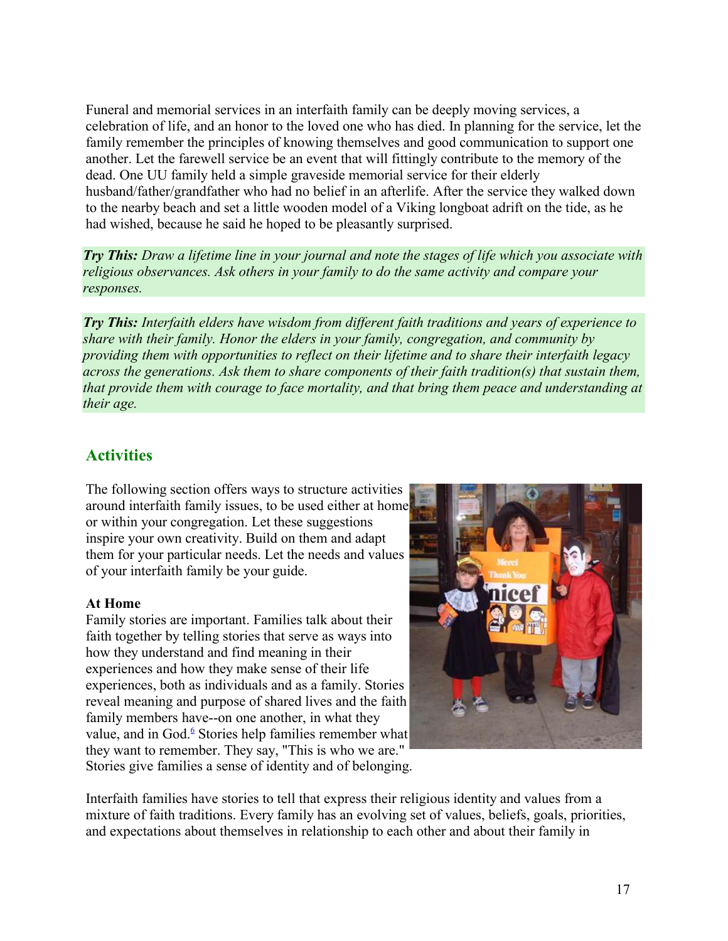Funeral and memorial services in an interfaith family can be deeply moving services, a celebration of life, and an honor to the loved one who has died. In planning for the service, let the family remember the principles of knowing themselves and good communication to support one another. Let the farewell service be an event that will fittingly contribute to the memory of the dead. One UU family held a simple graveside memorial service for their elderly husband/father/grandfather who had no belief in an afterlife. After the service they walked down to the nearby beach and set a little wooden model of a Viking longboat adrift on the tide, as he had wished, because he said he hoped to be pleasantly surprised.

*Try This: Draw a lifetime line in your journal and note the stages of life which you associate with religious observances. Ask others in your family to do the same activity and compare your responses.*

*Try This: Interfaith elders have wisdom from different faith traditions and years of experience to share with their family. Honor the elders in your family, congregation, and community by providing them with opportunities to reflect on their lifetime and to share their interfaith legacy across the generations. Ask them to share components of their faith tradition(s) that sustain them, that provide them with courage to face mortality, and that bring them peace and understanding at their age.*

### **Activities**

The following section offers ways to structure activities around interfaith family issues, to be used either at home or within your congregation. Let these suggestions inspire your own creativity. Build on them and adapt them for your particular needs. Let the needs and values of your interfaith family be your guide.

### **At Home**

Family stories are important. Families talk about their faith together by telling stories that serve as ways into how they understand and find meaning in their experiences and how they make sense of their life experiences, both as individuals and as a family. Stories reveal meaning and purpose of shared lives and the faith family members have--on one another, in what they value, and in God.<sup>6</sup> Stories help families remember what they want to remember. They say, "This is who we are." Stories give families a sense of identity and of belonging.



Interfaith families have stories to tell that express their religious identity and values from a mixture of faith traditions. Every family has an evolving set of values, beliefs, goals, priorities, and expectations about themselves in relationship to each other and about their family in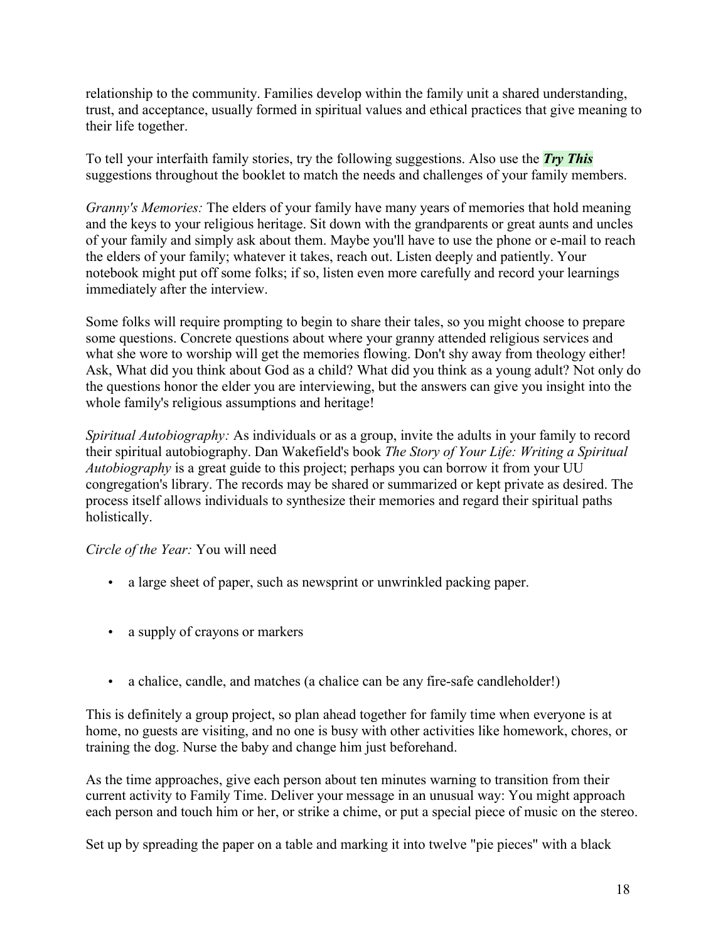relationship to the community. Families develop within the family unit a shared understanding, trust, and acceptance, usually formed in spiritual values and ethical practices that give meaning to their life together.

To tell your interfaith family stories, try the following suggestions. Also use the *Try This* suggestions throughout the booklet to match the needs and challenges of your family members.

*Granny's Memories:* The elders of your family have many years of memories that hold meaning and the keys to your religious heritage. Sit down with the grandparents or great aunts and uncles of your family and simply ask about them. Maybe you'll have to use the phone or e-mail to reach the elders of your family; whatever it takes, reach out. Listen deeply and patiently. Your notebook might put off some folks; if so, listen even more carefully and record your learnings immediately after the interview.

Some folks will require prompting to begin to share their tales, so you might choose to prepare some questions. Concrete questions about where your granny attended religious services and what she wore to worship will get the memories flowing. Don't shy away from theology either! Ask, What did you think about God as a child? What did you think as a young adult? Not only do the questions honor the elder you are interviewing, but the answers can give you insight into the whole family's religious assumptions and heritage!

*Spiritual Autobiography:* As individuals or as a group, invite the adults in your family to record their spiritual autobiography. Dan Wakefield's book *The Story of Your Life: Writing a Spiritual Autobiography* is a great guide to this project; perhaps you can borrow it from your UU congregation's library. The records may be shared or summarized or kept private as desired. The process itself allows individuals to synthesize their memories and regard their spiritual paths holistically.

### *Circle of the Year:* You will need

- a large sheet of paper, such as newsprint or unwrinkled packing paper.
- a supply of crayons or markers
- a chalice, candle, and matches (a chalice can be any fire-safe candleholder!)

This is definitely a group project, so plan ahead together for family time when everyone is at home, no guests are visiting, and no one is busy with other activities like homework, chores, or training the dog. Nurse the baby and change him just beforehand.

As the time approaches, give each person about ten minutes warning to transition from their current activity to Family Time. Deliver your message in an unusual way: You might approach each person and touch him or her, or strike a chime, or put a special piece of music on the stereo.

Set up by spreading the paper on a table and marking it into twelve "pie pieces" with a black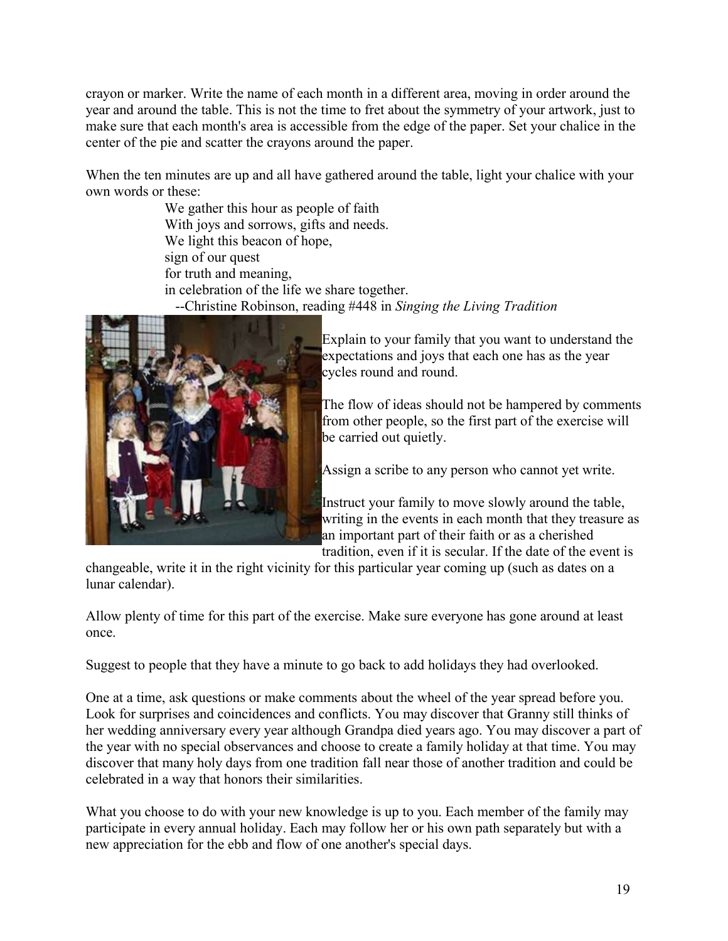crayon or marker. Write the name of each month in a different area, moving in order around the year and around the table. This is not the time to fret about the symmetry of your artwork, just to make sure that each month's area is accessible from the edge of the paper. Set your chalice in the center of the pie and scatter the crayons around the paper.

When the ten minutes are up and all have gathered around the table, light your chalice with your own words or these:

> We gather this hour as people of faith With joys and sorrows, gifts and needs. We light this beacon of hope, sign of our quest for truth and meaning, in celebration of the life we share together. --Christine Robinson, reading #448 in *Singing the Living Tradition*



Explain to your family that you want to understand the expectations and joys that each one has as the year cycles round and round.

The flow of ideas should not be hampered by comments from other people, so the first part of the exercise will be carried out quietly.

Assign a scribe to any person who cannot yet write.

Instruct your family to move slowly around the table, writing in the events in each month that they treasure as an important part of their faith or as a cherished tradition, even if it is secular. If the date of the event is

changeable, write it in the right vicinity for this particular year coming up (such as dates on a lunar calendar).

Allow plenty of time for this part of the exercise. Make sure everyone has gone around at least once.

Suggest to people that they have a minute to go back to add holidays they had overlooked.

One at a time, ask questions or make comments about the wheel of the year spread before you. Look for surprises and coincidences and conflicts. You may discover that Granny still thinks of her wedding anniversary every year although Grandpa died years ago. You may discover a part of the year with no special observances and choose to create a family holiday at that time. You may discover that many holy days from one tradition fall near those of another tradition and could be celebrated in a way that honors their similarities.

What you choose to do with your new knowledge is up to you. Each member of the family may participate in every annual holiday. Each may follow her or his own path separately but with a new appreciation for the ebb and flow of one another's special days.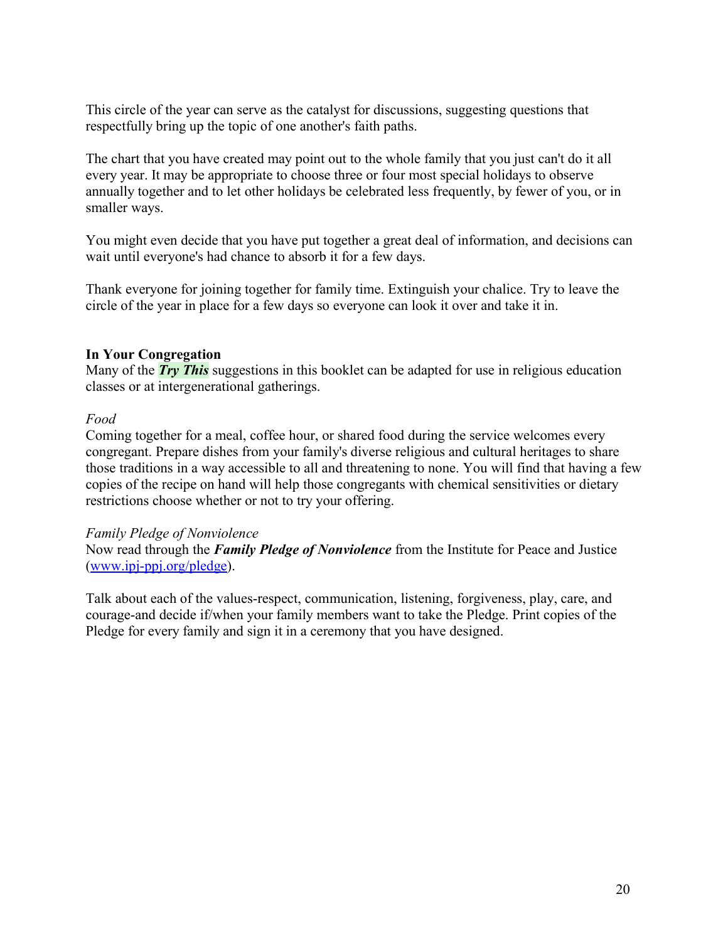This circle of the year can serve as the catalyst for discussions, suggesting questions that respectfully bring up the topic of one another's faith paths.

The chart that you have created may point out to the whole family that you just can't do it all every year. It may be appropriate to choose three or four most special holidays to observe annually together and to let other holidays be celebrated less frequently, by fewer of you, or in smaller ways.

You might even decide that you have put together a great deal of information, and decisions can wait until everyone's had chance to absorb it for a few days.

Thank everyone for joining together for family time. Extinguish your chalice. Try to leave the circle of the year in place for a few days so everyone can look it over and take it in.

#### **In Your Congregation**

Many of the *Try This* suggestions in this booklet can be adapted for use in religious education classes or at intergenerational gatherings.

#### *Food*

Coming together for a meal, coffee hour, or shared food during the service welcomes every congregant. Prepare dishes from your family's diverse religious and cultural heritages to share those traditions in a way accessible to all and threatening to none. You will find that having a few copies of the recipe on hand will help those congregants with chemical sensitivities or dietary restrictions choose whether or not to try your offering.

#### *Family Pledge of Nonviolence*

Now read through the *Family Pledge of Nonviolence* from the Institute for Peace and Justice (www.ipj-ppj.org/pledge).

Talk about each of the values-respect, communication, listening, forgiveness, play, care, and courage-and decide if/when your family members want to take the Pledge. Print copies of the Pledge for every family and sign it in a ceremony that you have designed.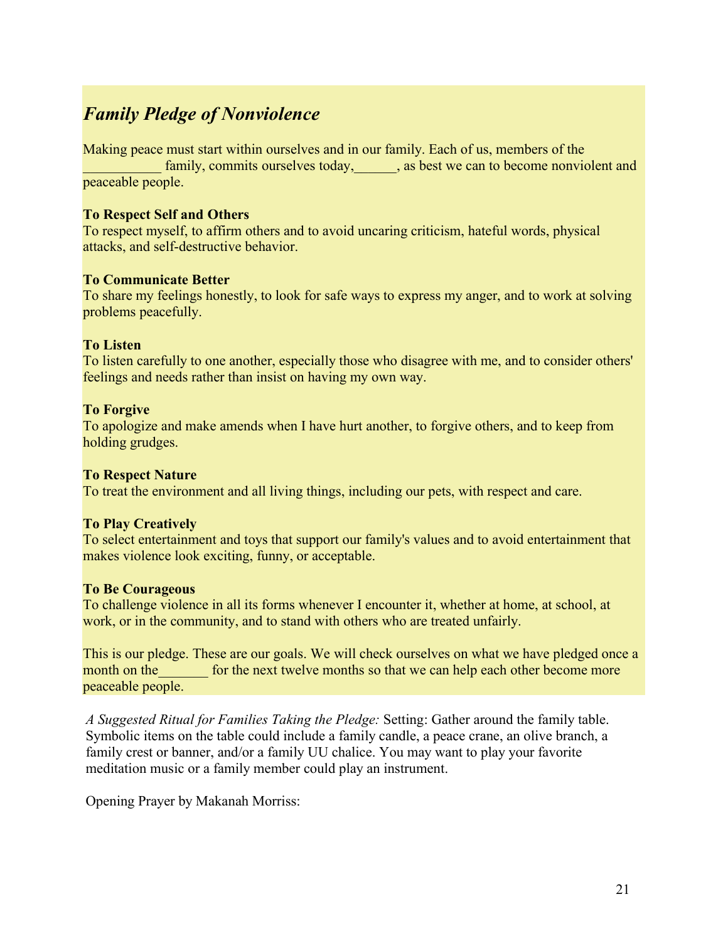## *Family Pledge of Nonviolence*

Making peace must start within ourselves and in our family. Each of us, members of the family, commits ourselves today, as best we can to become nonviolent and peaceable people.

#### **To Respect Self and Others**

To respect myself, to affirm others and to avoid uncaring criticism, hateful words, physical attacks, and self-destructive behavior.

#### **To Communicate Better**

To share my feelings honestly, to look for safe ways to express my anger, and to work at solving problems peacefully.

#### **To Listen**

To listen carefully to one another, especially those who disagree with me, and to consider others' feelings and needs rather than insist on having my own way.

#### **To Forgive**

To apologize and make amends when I have hurt another, to forgive others, and to keep from holding grudges.

#### **To Respect Nature**

To treat the environment and all living things, including our pets, with respect and care.

### **To Play Creatively**

To select entertainment and toys that support our family's values and to avoid entertainment that makes violence look exciting, funny, or acceptable.

#### **To Be Courageous**

To challenge violence in all its forms whenever I encounter it, whether at home, at school, at work, or in the community, and to stand with others who are treated unfairly.

This is our pledge. These are our goals. We will check ourselves on what we have pledged once a month on the same for the next twelve months so that we can help each other become more peaceable people.

*A Suggested Ritual for Families Taking the Pledge:* Setting: Gather around the family table. Symbolic items on the table could include a family candle, a peace crane, an olive branch, a family crest or banner, and/or a family UU chalice. You may want to play your favorite meditation music or a family member could play an instrument.

Opening Prayer by Makanah Morriss: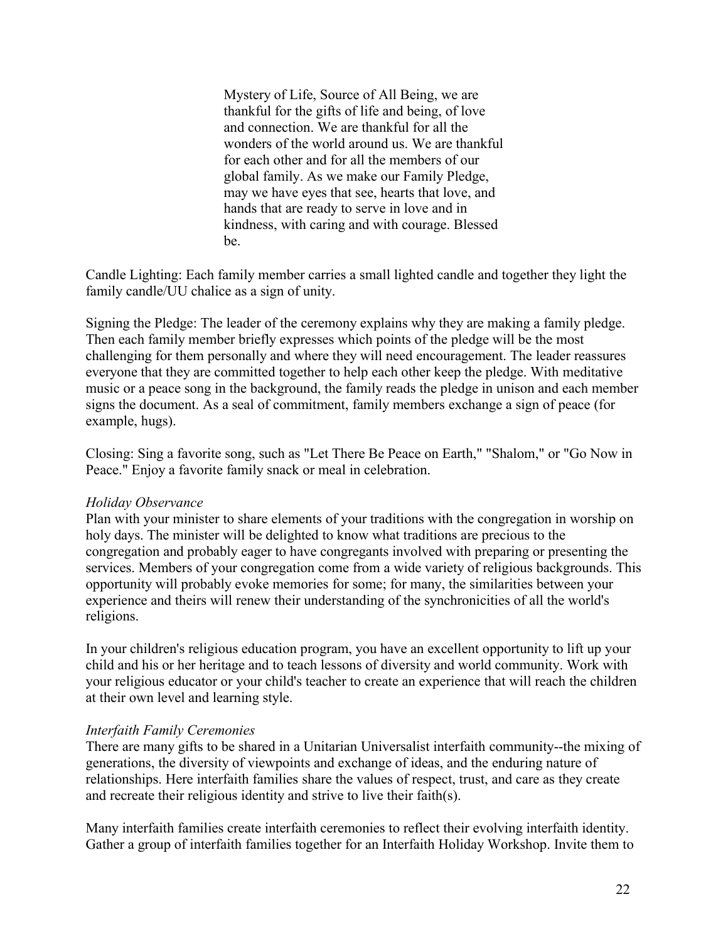Mystery of Life, Source of All Being, we are thankful for the gifts of life and being, of love and connection. We are thankful for all the wonders of the world around us. We are thankful for each other and for all the members of our global family. As we make our Family Pledge, may we have eyes that see, hearts that love, and hands that are ready to serve in love and in kindness, with caring and with courage. Blessed be.

Candle Lighting: Each family member carries a small lighted candle and together they light the family candle/UU chalice as a sign of unity.

Signing the Pledge: The leader of the ceremony explains why they are making a family pledge. Then each family member briefly expresses which points of the pledge will be the most challenging for them personally and where they will need encouragement. The leader reassures everyone that they are committed together to help each other keep the pledge. With meditative music or a peace song in the background, the family reads the pledge in unison and each member signs the document. As a seal of commitment, family members exchange a sign of peace (for example, hugs).

Closing: Sing a favorite song, such as "Let There Be Peace on Earth," "Shalom," or "Go Now in Peace." Enjoy a favorite family snack or meal in celebration.

#### *Holiday Observance*

Plan with your minister to share elements of your traditions with the congregation in worship on holy days. The minister will be delighted to know what traditions are precious to the congregation and probably eager to have congregants involved with preparing or presenting the services. Members of your congregation come from a wide variety of religious backgrounds. This opportunity will probably evoke memories for some; for many, the similarities between your experience and theirs will renew their understanding of the synchronicities of all the world's religions.

In your children's religious education program, you have an excellent opportunity to lift up your child and his or her heritage and to teach lessons of diversity and world community. Work with your religious educator or your child's teacher to create an experience that will reach the children at their own level and learning style.

#### *Interfaith Family Ceremonies*

There are many gifts to be shared in a Unitarian Universalist interfaith community--the mixing of generations, the diversity of viewpoints and exchange of ideas, and the enduring nature of relationships. Here interfaith families share the values of respect, trust, and care as they create and recreate their religious identity and strive to live their faith(s).

Many interfaith families create interfaith ceremonies to reflect their evolving interfaith identity. Gather a group of interfaith families together for an Interfaith Holiday Workshop. Invite them to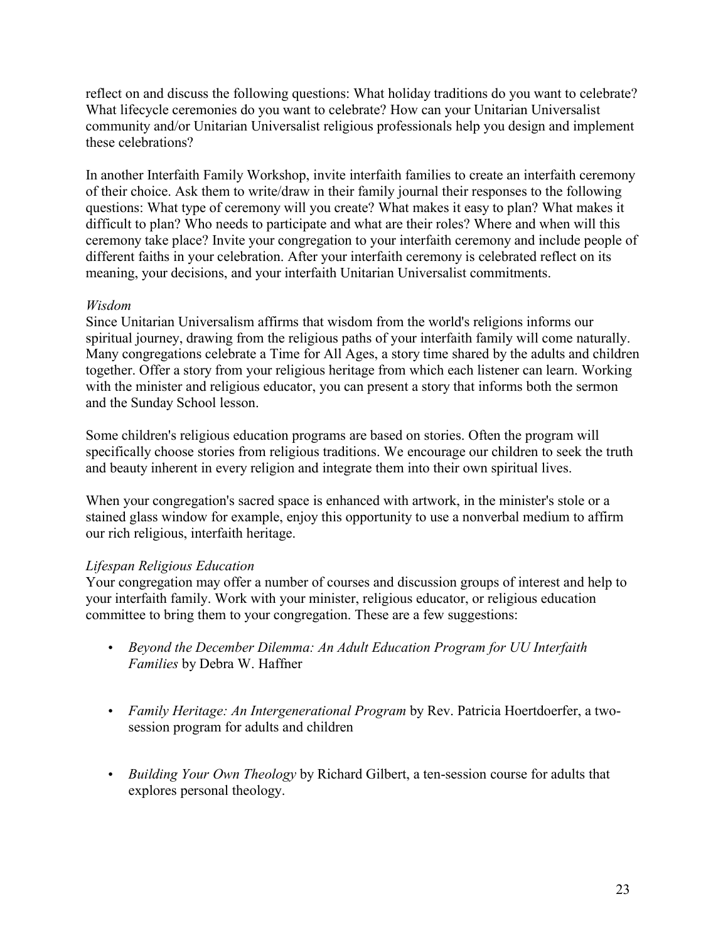reflect on and discuss the following questions: What holiday traditions do you want to celebrate? What lifecycle ceremonies do you want to celebrate? How can your Unitarian Universalist community and/or Unitarian Universalist religious professionals help you design and implement these celebrations?

In another Interfaith Family Workshop, invite interfaith families to create an interfaith ceremony of their choice. Ask them to write/draw in their family journal their responses to the following questions: What type of ceremony will you create? What makes it easy to plan? What makes it difficult to plan? Who needs to participate and what are their roles? Where and when will this ceremony take place? Invite your congregation to your interfaith ceremony and include people of different faiths in your celebration. After your interfaith ceremony is celebrated reflect on its meaning, your decisions, and your interfaith Unitarian Universalist commitments.

#### *Wisdom*

Since Unitarian Universalism affirms that wisdom from the world's religions informs our spiritual journey, drawing from the religious paths of your interfaith family will come naturally. Many congregations celebrate a Time for All Ages, a story time shared by the adults and children together. Offer a story from your religious heritage from which each listener can learn. Working with the minister and religious educator, you can present a story that informs both the sermon and the Sunday School lesson.

Some children's religious education programs are based on stories. Often the program will specifically choose stories from religious traditions. We encourage our children to seek the truth and beauty inherent in every religion and integrate them into their own spiritual lives.

When your congregation's sacred space is enhanced with artwork, in the minister's stole or a stained glass window for example, enjoy this opportunity to use a nonverbal medium to affirm our rich religious, interfaith heritage.

### *Lifespan Religious Education*

Your congregation may offer a number of courses and discussion groups of interest and help to your interfaith family. Work with your minister, religious educator, or religious education committee to bring them to your congregation. These are a few suggestions:

- *Beyond the December Dilemma: An Adult Education Program for UU Interfaith Families* by Debra W. Haffner
- *Family Heritage: An Intergenerational Program* by Rev. Patricia Hoertdoerfer, a twosession program for adults and children
- *Building Your Own Theology* by Richard Gilbert, a ten-session course for adults that explores personal theology.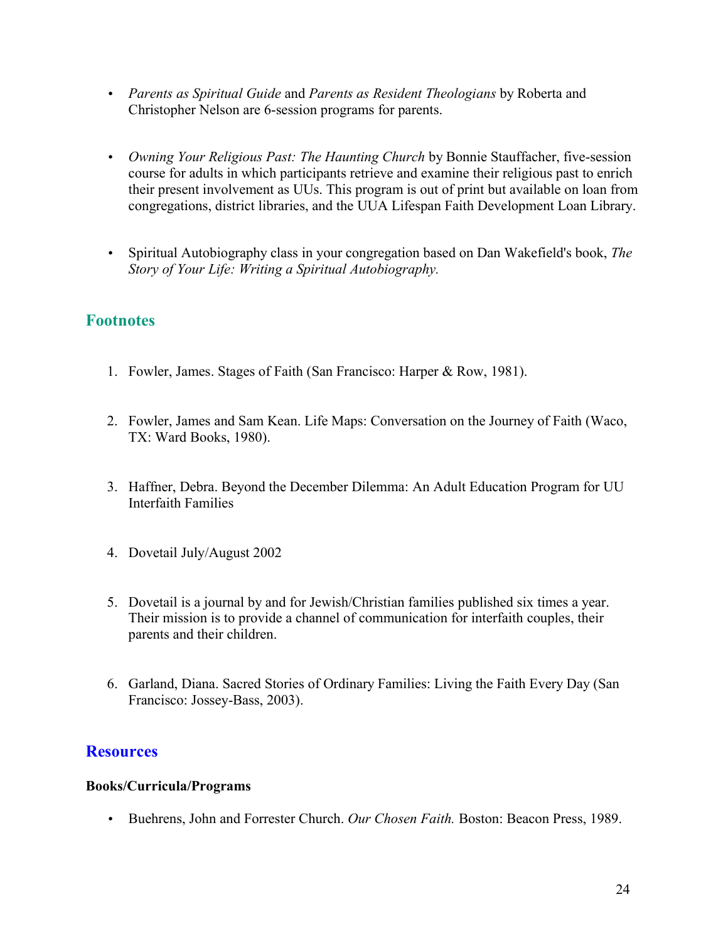- *Parents as Spiritual Guide* and *Parents as Resident Theologians* by Roberta and Christopher Nelson are 6-session programs for parents.
- *Owning Your Religious Past: The Haunting Church* by Bonnie Stauffacher, five-session course for adults in which participants retrieve and examine their religious past to enrich their present involvement as UUs. This program is out of print but available on loan from congregations, district libraries, and the UUA Lifespan Faith Development Loan Library.
- Spiritual Autobiography class in your congregation based on Dan Wakefield's book, *The Story of Your Life: Writing a Spiritual Autobiography.*

### **Footnotes**

- 1. Fowler, James. Stages of Faith (San Francisco: Harper & Row, 1981).
- 2. Fowler, James and Sam Kean. Life Maps: Conversation on the Journey of Faith (Waco, TX: Ward Books, 1980).
- 3. Haffner, Debra. Beyond the December Dilemma: An Adult Education Program for UU Interfaith Families
- 4. Dovetail July/August 2002
- 5. Dovetail is a journal by and for Jewish/Christian families published six times a year. Their mission is to provide a channel of communication for interfaith couples, their parents and their children.
- 6. Garland, Diana. Sacred Stories of Ordinary Families: Living the Faith Every Day (San Francisco: Jossey-Bass, 2003).

### **Resources**

### **Books/Curricula/Programs**

• Buehrens, John and Forrester Church. *Our Chosen Faith.* Boston: Beacon Press, 1989.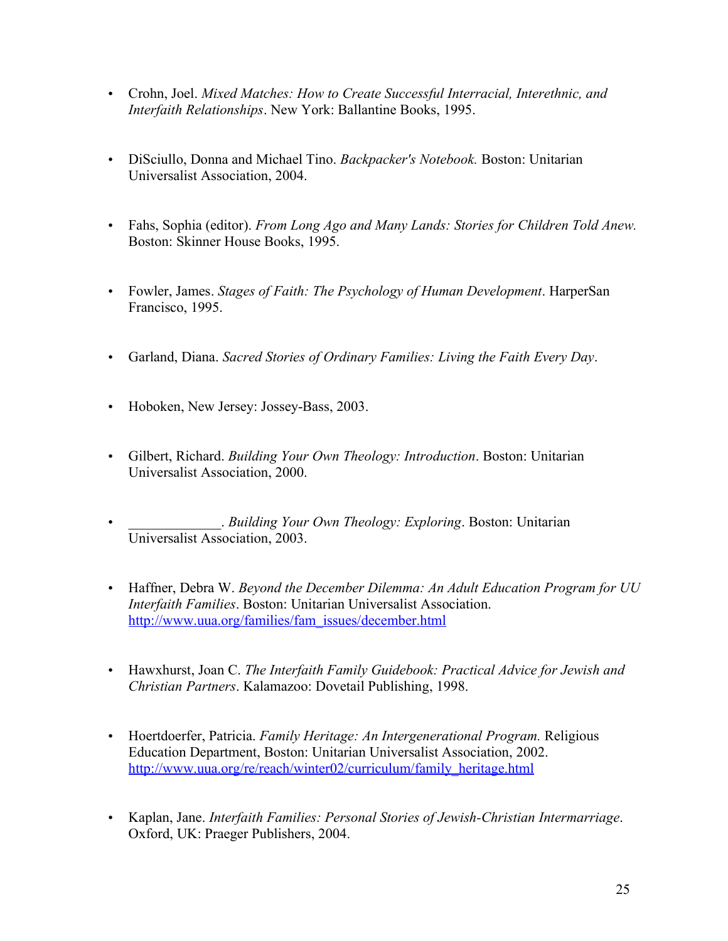- Crohn, Joel. *Mixed Matches: How to Create Successful Interracial, Interethnic, and Interfaith Relationships*. New York: Ballantine Books, 1995.
- DiSciullo, Donna and Michael Tino. *Backpacker's Notebook.* Boston: Unitarian Universalist Association, 2004.
- Fahs, Sophia (editor). *From Long Ago and Many Lands: Stories for Children Told Anew.* Boston: Skinner House Books, 1995.
- Fowler, James. *Stages of Faith: The Psychology of Human Development*. HarperSan Francisco, 1995.
- Garland, Diana. *Sacred Stories of Ordinary Families: Living the Faith Every Day*.
- Hoboken, New Jersey: Jossey-Bass, 2003.
- Gilbert, Richard. *Building Your Own Theology: Introduction*. Boston: Unitarian Universalist Association, 2000.
- \_\_\_\_\_\_\_\_\_\_\_\_\_. *Building Your Own Theology: Exploring*. Boston: Unitarian Universalist Association, 2003.
- Haffner, Debra W. *Beyond the December Dilemma: An Adult Education Program for UU Interfaith Families*. Boston: Unitarian Universalist Association. http://www.uua.org/families/fam\_issues/december.html
- Hawxhurst, Joan C. *The Interfaith Family Guidebook: Practical Advice for Jewish and Christian Partners*. Kalamazoo: Dovetail Publishing, 1998.
- Hoertdoerfer, Patricia. *Family Heritage: An Intergenerational Program.* Religious Education Department, Boston: Unitarian Universalist Association, 2002. http://www.uua.org/re/reach/winter02/curriculum/family\_heritage.html
- Kaplan, Jane. *Interfaith Families: Personal Stories of Jewish-Christian Intermarriage*. Oxford, UK: Praeger Publishers, 2004.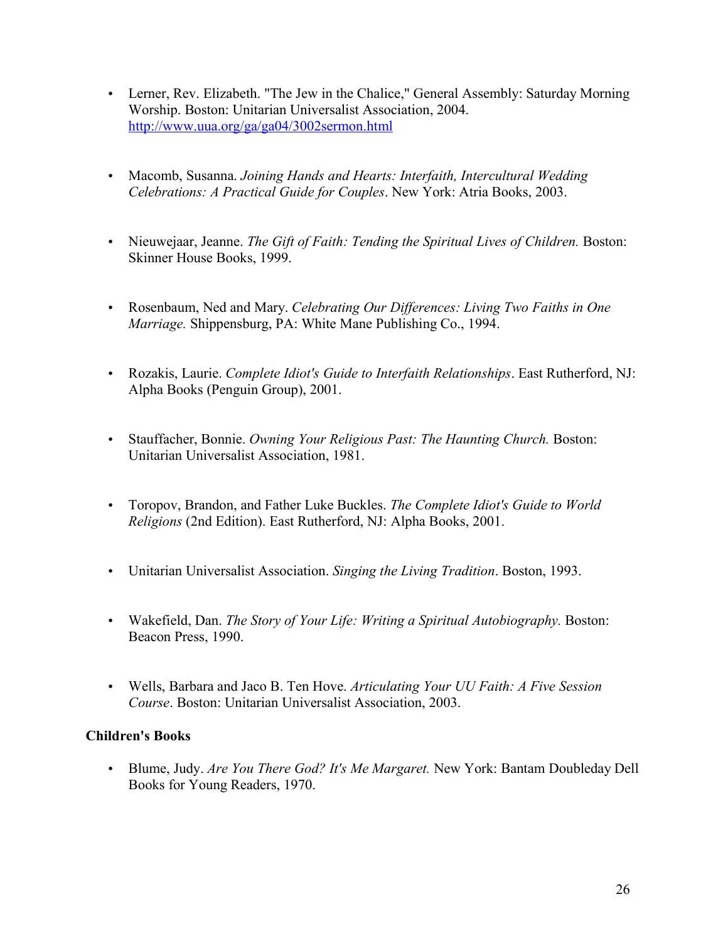- Lerner, Rev. Elizabeth. "The Jew in the Chalice," General Assembly: Saturday Morning Worship. Boston: Unitarian Universalist Association, 2004. http://www.uua.org/ga/ga04/3002sermon.html
- Macomb, Susanna. *Joining Hands and Hearts: Interfaith, Intercultural Wedding Celebrations: A Practical Guide for Couples*. New York: Atria Books, 2003.
- Nieuwejaar, Jeanne. *The Gift of Faith: Tending the Spiritual Lives of Children*. Boston: Skinner House Books, 1999.
- Rosenbaum, Ned and Mary. *Celebrating Our Differences: Living Two Faiths in One Marriage.* Shippensburg, PA: White Mane Publishing Co., 1994.
- Rozakis, Laurie. *Complete Idiot's Guide to Interfaith Relationships*. East Rutherford, NJ: Alpha Books (Penguin Group), 2001.
- Stauffacher, Bonnie. *Owning Your Religious Past: The Haunting Church.* Boston: Unitarian Universalist Association, 1981.
- Toropov, Brandon, and Father Luke Buckles. *The Complete Idiot's Guide to World Religions* (2nd Edition). East Rutherford, NJ: Alpha Books, 2001.
- Unitarian Universalist Association. *Singing the Living Tradition*. Boston, 1993.
- Wakefield, Dan. *The Story of Your Life: Writing a Spiritual Autobiography.* Boston: Beacon Press, 1990.
- Wells, Barbara and Jaco B. Ten Hove. *Articulating Your UU Faith: A Five Session Course*. Boston: Unitarian Universalist Association, 2003.

### **Children's Books**

• Blume, Judy. *Are You There God? It's Me Margaret.* New York: Bantam Doubleday Dell Books for Young Readers, 1970.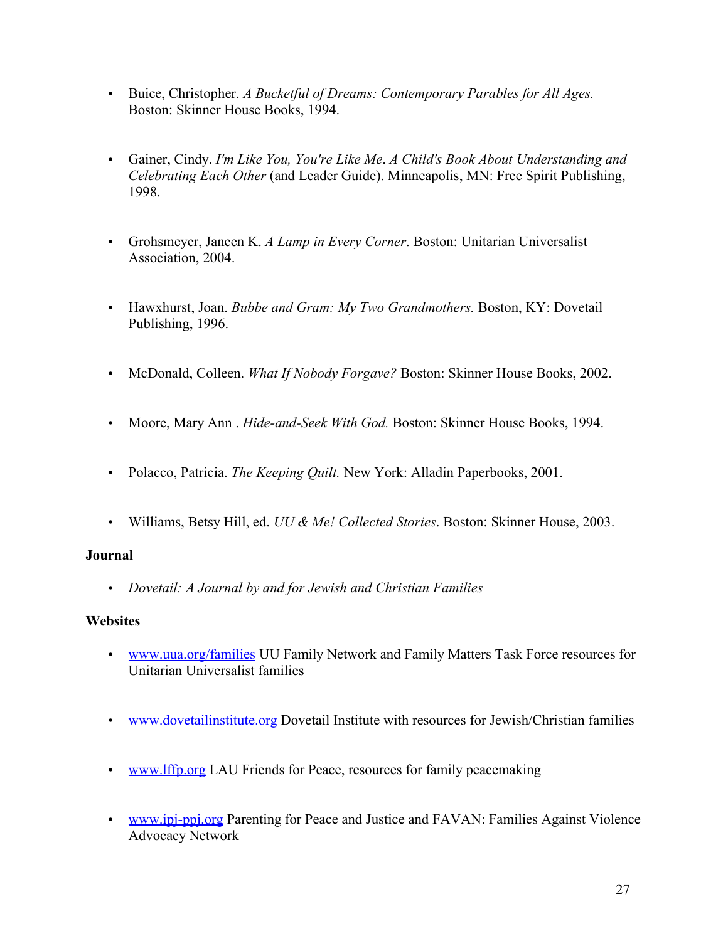- Buice, Christopher. *A Bucketful of Dreams: Contemporary Parables for All Ages.* Boston: Skinner House Books, 1994.
- Gainer, Cindy. *I'm Like You, You're Like Me*. *A Child's Book About Understanding and Celebrating Each Other* (and Leader Guide). Minneapolis, MN: Free Spirit Publishing, 1998.
- Grohsmeyer, Janeen K. *A Lamp in Every Corner*. Boston: Unitarian Universalist Association, 2004.
- Hawxhurst, Joan. *Bubbe and Gram: My Two Grandmothers.* Boston, KY: Dovetail Publishing, 1996.
- McDonald, Colleen. *What If Nobody Forgave?* Boston: Skinner House Books, 2002.
- Moore, Mary Ann . *Hide-and-Seek With God.* Boston: Skinner House Books, 1994.
- Polacco, Patricia. *The Keeping Quilt.* New York: Alladin Paperbooks, 2001.
- Williams, Betsy Hill, ed. *UU & Me! Collected Stories*. Boston: Skinner House, 2003.

### **Journal**

• *Dovetail: A Journal by and for Jewish and Christian Families*

### **Websites**

- www.uua.org/families UU Family Network and Family Matters Task Force resources for Unitarian Universalist families
- www.dovetailinstitute.org Dovetail Institute with resources for Jewish/Christian families
- www.lffp.org LAU Friends for Peace, resources for family peacemaking
- www.ipj-ppj.org Parenting for Peace and Justice and FAVAN: Families Against Violence Advocacy Network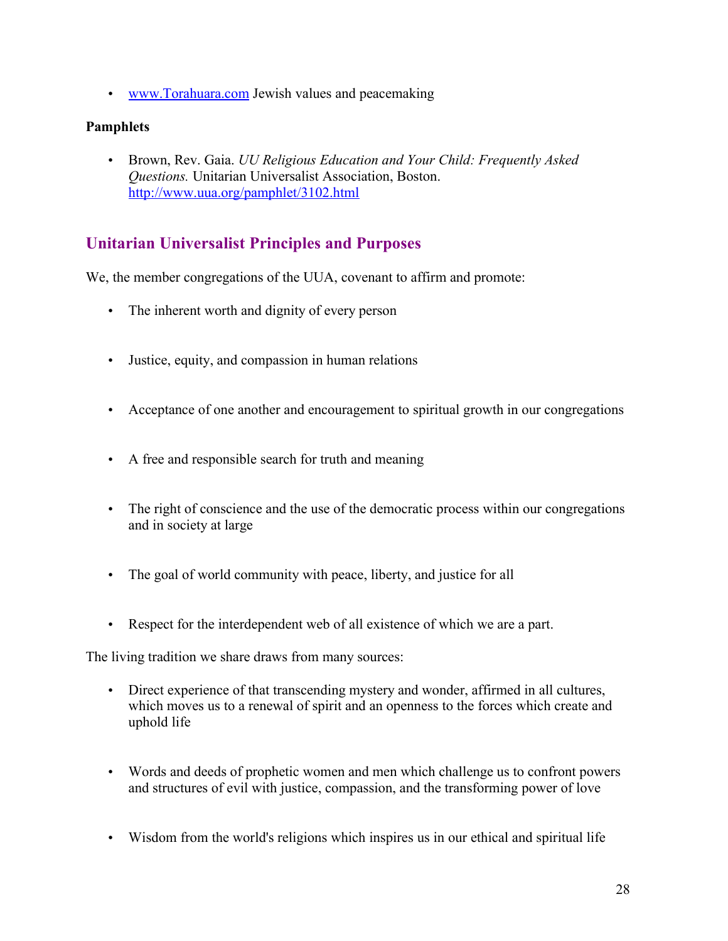• www.Torahuara.com Jewish values and peacemaking

### **Pamphlets**

• Brown, Rev. Gaia. *UU Religious Education and Your Child: Frequently Asked Questions.* Unitarian Universalist Association, Boston. http://www.uua.org/pamphlet/3102.html

### **Unitarian Universalist Principles and Purposes**

We, the member congregations of the UUA, covenant to affirm and promote:

- The inherent worth and dignity of every person
- Justice, equity, and compassion in human relations
- Acceptance of one another and encouragement to spiritual growth in our congregations
- A free and responsible search for truth and meaning
- The right of conscience and the use of the democratic process within our congregations and in society at large
- The goal of world community with peace, liberty, and justice for all
- Respect for the interdependent web of all existence of which we are a part.

The living tradition we share draws from many sources:

- Direct experience of that transcending mystery and wonder, affirmed in all cultures, which moves us to a renewal of spirit and an openness to the forces which create and uphold life
- Words and deeds of prophetic women and men which challenge us to confront powers and structures of evil with justice, compassion, and the transforming power of love
- Wisdom from the world's religions which inspires us in our ethical and spiritual life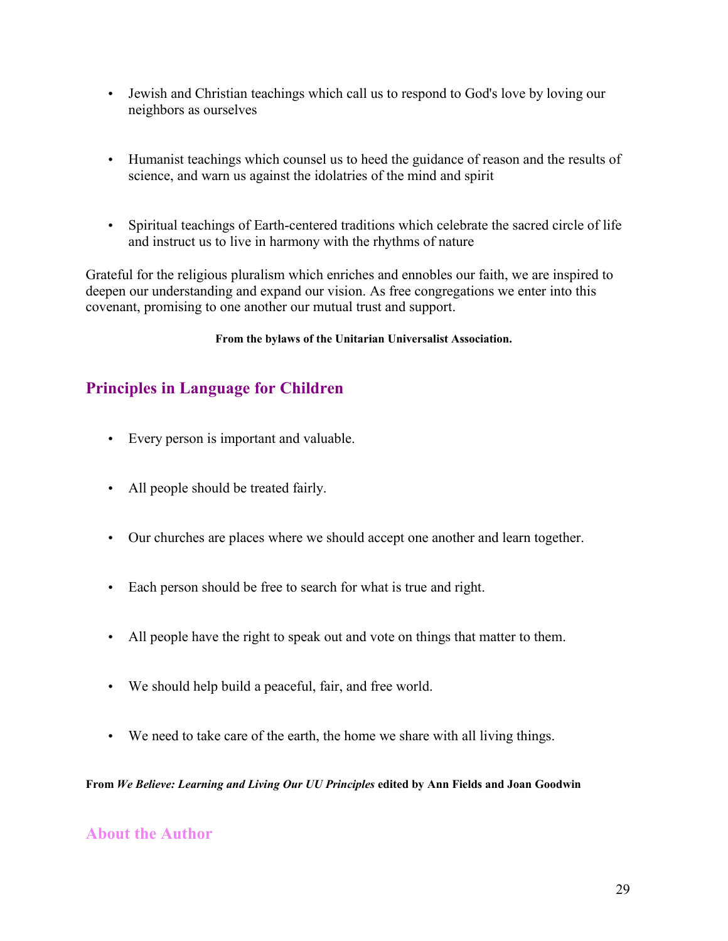- Jewish and Christian teachings which call us to respond to God's love by loving our neighbors as ourselves
- Humanist teachings which counsel us to heed the guidance of reason and the results of science, and warn us against the idolatries of the mind and spirit
- Spiritual teachings of Earth-centered traditions which celebrate the sacred circle of life and instruct us to live in harmony with the rhythms of nature

Grateful for the religious pluralism which enriches and ennobles our faith, we are inspired to deepen our understanding and expand our vision. As free congregations we enter into this covenant, promising to one another our mutual trust and support.

**From the bylaws of the Unitarian Universalist Association.**

### **Principles in Language for Children**

- Every person is important and valuable.
- All people should be treated fairly.
- Our churches are places where we should accept one another and learn together.
- Each person should be free to search for what is true and right.
- All people have the right to speak out and vote on things that matter to them.
- We should help build a peaceful, fair, and free world.
- We need to take care of the earth, the home we share with all living things.

**From** *We Believe: Learning and Living Our UU Principles* **edited by Ann Fields and Joan Goodwin**

### **About the Author**